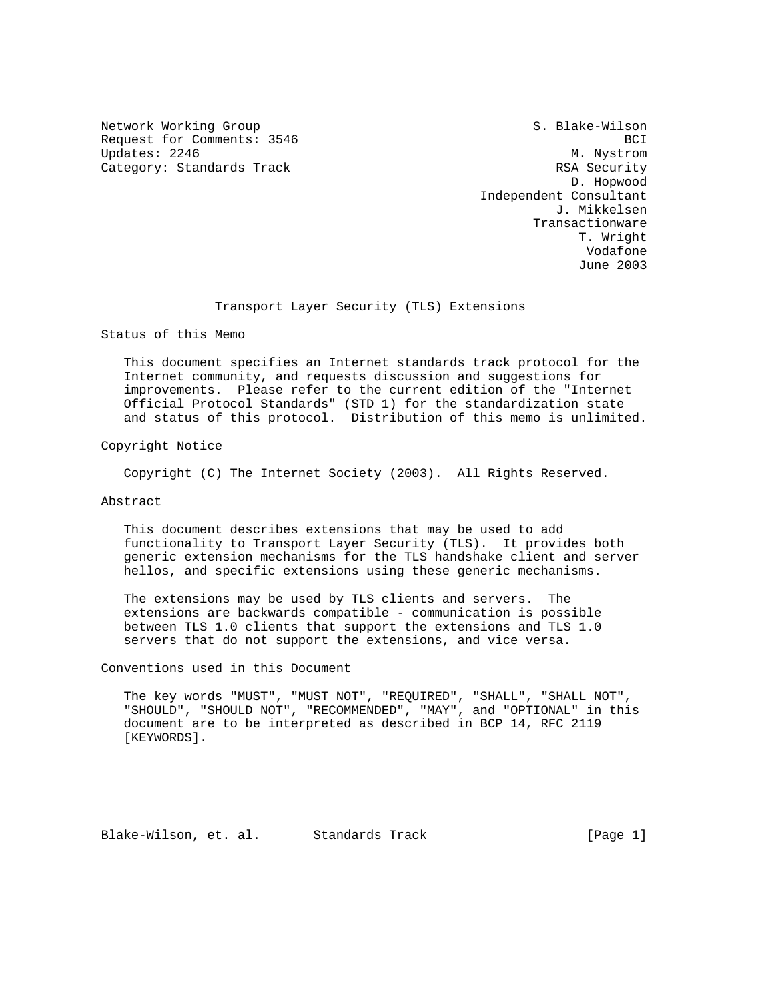Network Working Group S. Blake-Wilson Request for Comments: 3546 BCI Updates: 2246 M. Nystrom Category: Standards Track RSA Security

 D. Hopwood Independent Consultant J. Mikkelsen Transactionware T. Wright Vodafone June 2003

Transport Layer Security (TLS) Extensions

Status of this Memo

 This document specifies an Internet standards track protocol for the Internet community, and requests discussion and suggestions for improvements. Please refer to the current edition of the "Internet Official Protocol Standards" (STD 1) for the standardization state and status of this protocol. Distribution of this memo is unlimited.

Copyright Notice

Copyright (C) The Internet Society (2003). All Rights Reserved.

Abstract

 This document describes extensions that may be used to add functionality to Transport Layer Security (TLS). It provides both generic extension mechanisms for the TLS handshake client and server hellos, and specific extensions using these generic mechanisms.

 The extensions may be used by TLS clients and servers. The extensions are backwards compatible - communication is possible between TLS 1.0 clients that support the extensions and TLS 1.0 servers that do not support the extensions, and vice versa.

Conventions used in this Document

 The key words "MUST", "MUST NOT", "REQUIRED", "SHALL", "SHALL NOT", "SHOULD", "SHOULD NOT", "RECOMMENDED", "MAY", and "OPTIONAL" in this document are to be interpreted as described in BCP 14, RFC 2119 [KEYWORDS].

Blake-Wilson, et. al. Standards Track [Page 1]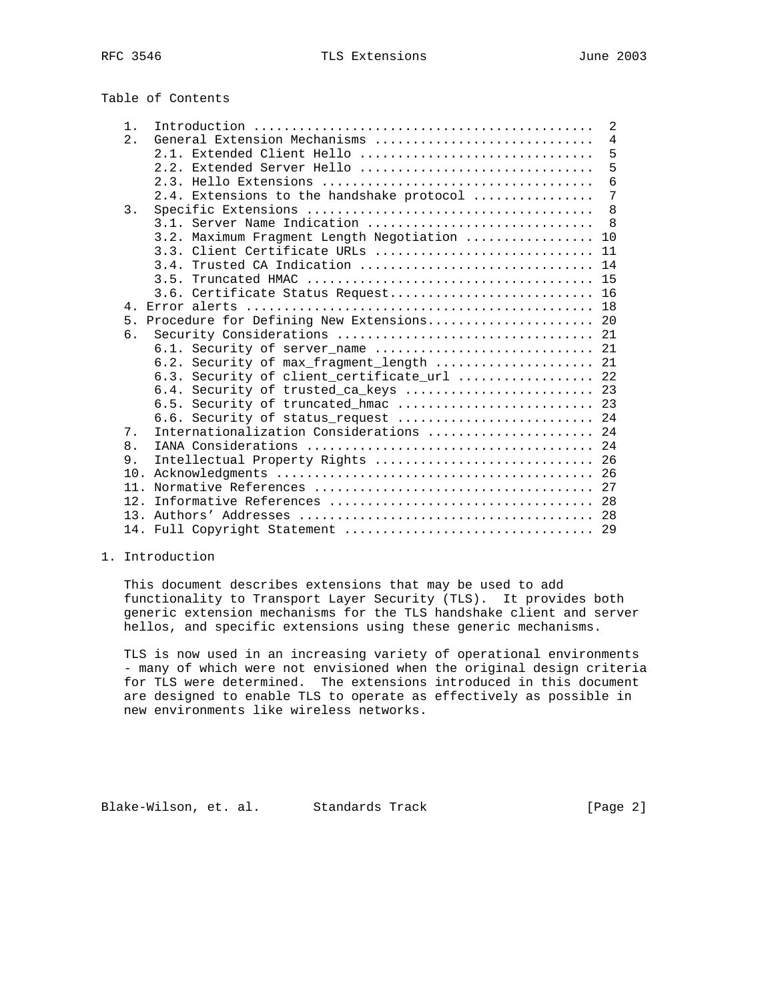# Table of Contents

| $1$ . |                                              | 2          |
|-------|----------------------------------------------|------------|
| 2.    |                                              |            |
|       | 2.1. Extended Client Hello                   | 5          |
|       | 2.2. Extended Server Hello                   | 5          |
|       |                                              | $\epsilon$ |
|       | 2.4. Extensions to the handshake protocol    | 7          |
| 3.    |                                              | - 8        |
|       | 3.1. Server Name Indication  8               |            |
|       | 3.2. Maximum Fragment Length Negotiation  10 |            |
|       | 3.3. Client Certificate URLs  11             |            |
|       | 3.4. Trusted CA Indication  14               |            |
|       |                                              |            |
|       | 3.6. Certificate Status Request 16           |            |
|       |                                              |            |
|       | 5. Procedure for Defining New Extensions 20  |            |
| б.    |                                              |            |
|       | 6.1. Security of server name  21             |            |
|       | 6.2. Security of max_fragment_length  21     |            |
|       | 6.3. Security of client certificate url  22  |            |
|       | 6.4. Security of trusted_ca_keys  23         |            |
|       | 6.5. Security of truncated_hmac  23          |            |
|       | 6.6. Security of status_request  24          |            |
| 7.    | Internationalization Considerations  24      |            |
| 8.    |                                              |            |
| 9.    | Intellectual Property Rights  26             |            |
|       |                                              |            |
| 11.   |                                              |            |
| 12.   |                                              |            |
| 13    |                                              |            |
|       |                                              |            |

#### 1. Introduction

 This document describes extensions that may be used to add functionality to Transport Layer Security (TLS). It provides both generic extension mechanisms for the TLS handshake client and server hellos, and specific extensions using these generic mechanisms.

 TLS is now used in an increasing variety of operational environments - many of which were not envisioned when the original design criteria for TLS were determined. The extensions introduced in this document are designed to enable TLS to operate as effectively as possible in new environments like wireless networks.

Blake-Wilson, et. al. Standards Track [Page 2]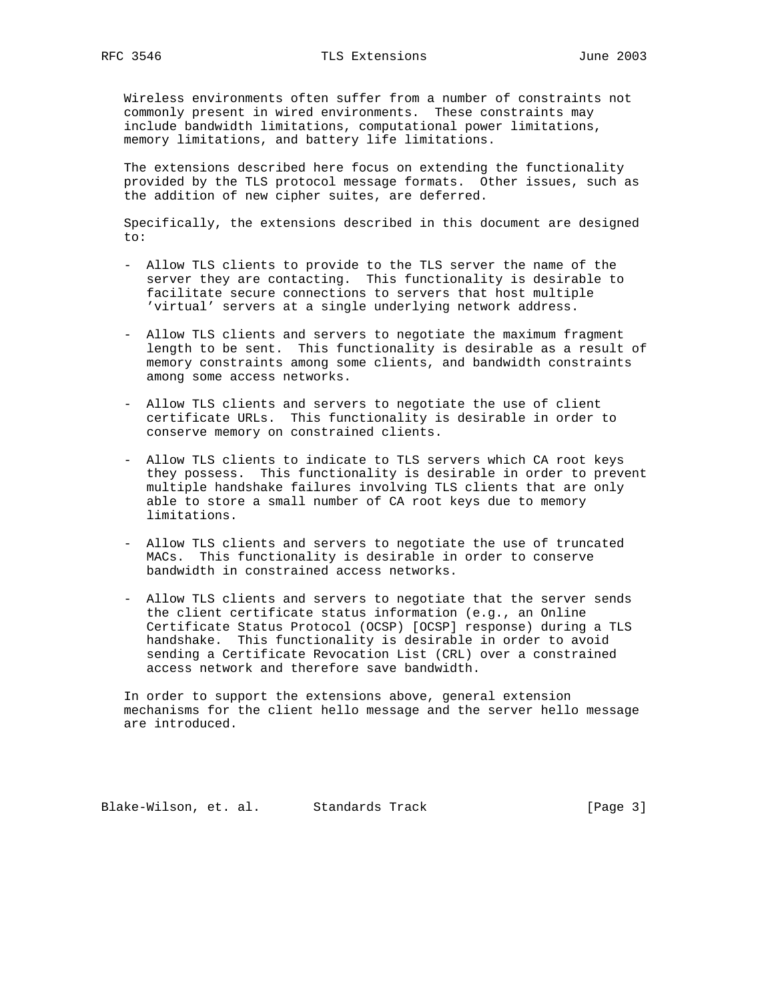Wireless environments often suffer from a number of constraints not commonly present in wired environments. These constraints may include bandwidth limitations, computational power limitations, memory limitations, and battery life limitations.

 The extensions described here focus on extending the functionality provided by the TLS protocol message formats. Other issues, such as the addition of new cipher suites, are deferred.

 Specifically, the extensions described in this document are designed to:

- Allow TLS clients to provide to the TLS server the name of the server they are contacting. This functionality is desirable to facilitate secure connections to servers that host multiple 'virtual' servers at a single underlying network address.
- Allow TLS clients and servers to negotiate the maximum fragment length to be sent. This functionality is desirable as a result of memory constraints among some clients, and bandwidth constraints among some access networks.
- Allow TLS clients and servers to negotiate the use of client certificate URLs. This functionality is desirable in order to conserve memory on constrained clients.
- Allow TLS clients to indicate to TLS servers which CA root keys they possess. This functionality is desirable in order to prevent multiple handshake failures involving TLS clients that are only able to store a small number of CA root keys due to memory limitations.
- Allow TLS clients and servers to negotiate the use of truncated MACs. This functionality is desirable in order to conserve bandwidth in constrained access networks.
- Allow TLS clients and servers to negotiate that the server sends the client certificate status information (e.g., an Online Certificate Status Protocol (OCSP) [OCSP] response) during a TLS handshake. This functionality is desirable in order to avoid sending a Certificate Revocation List (CRL) over a constrained access network and therefore save bandwidth.

 In order to support the extensions above, general extension mechanisms for the client hello message and the server hello message are introduced.

Blake-Wilson, et. al. Standards Track [Page 3]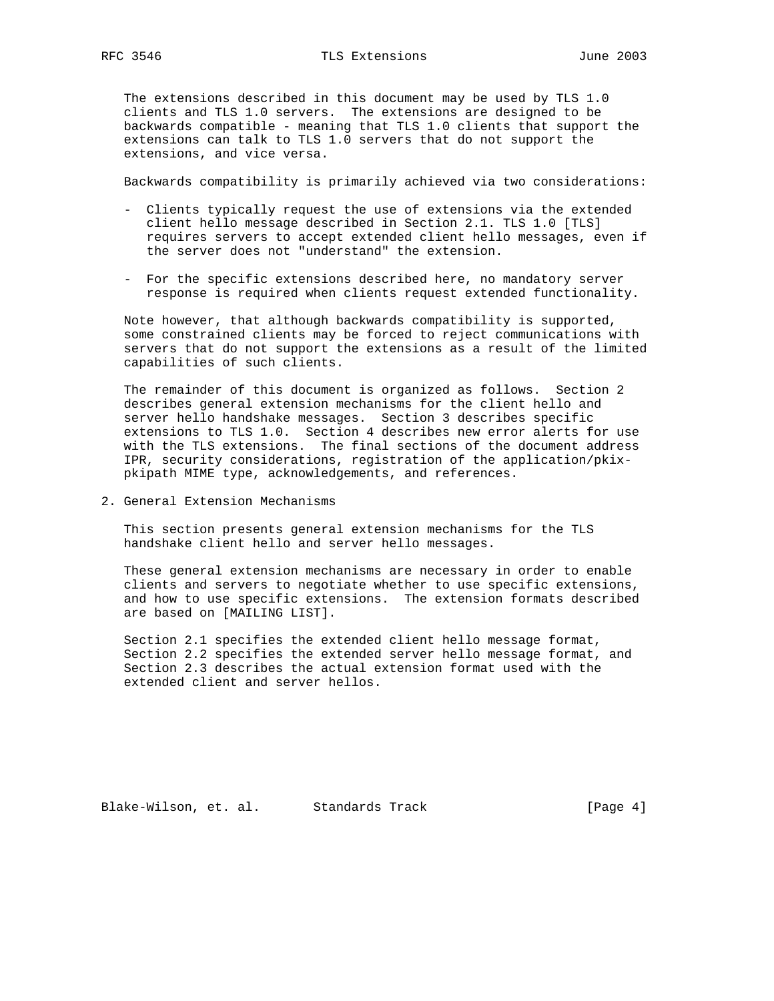The extensions described in this document may be used by TLS 1.0 clients and TLS 1.0 servers. The extensions are designed to be backwards compatible - meaning that TLS 1.0 clients that support the extensions can talk to TLS 1.0 servers that do not support the extensions, and vice versa.

Backwards compatibility is primarily achieved via two considerations:

- Clients typically request the use of extensions via the extended client hello message described in Section 2.1. TLS 1.0 [TLS] requires servers to accept extended client hello messages, even if the server does not "understand" the extension.
- For the specific extensions described here, no mandatory server response is required when clients request extended functionality.

 Note however, that although backwards compatibility is supported, some constrained clients may be forced to reject communications with servers that do not support the extensions as a result of the limited capabilities of such clients.

 The remainder of this document is organized as follows. Section 2 describes general extension mechanisms for the client hello and server hello handshake messages. Section 3 describes specific extensions to TLS 1.0. Section 4 describes new error alerts for use with the TLS extensions. The final sections of the document address IPR, security considerations, registration of the application/pkix pkipath MIME type, acknowledgements, and references.

2. General Extension Mechanisms

 This section presents general extension mechanisms for the TLS handshake client hello and server hello messages.

 These general extension mechanisms are necessary in order to enable clients and servers to negotiate whether to use specific extensions, and how to use specific extensions. The extension formats described are based on [MAILING LIST].

 Section 2.1 specifies the extended client hello message format, Section 2.2 specifies the extended server hello message format, and Section 2.3 describes the actual extension format used with the extended client and server hellos.

Blake-Wilson, et. al. Standards Track [Page 4]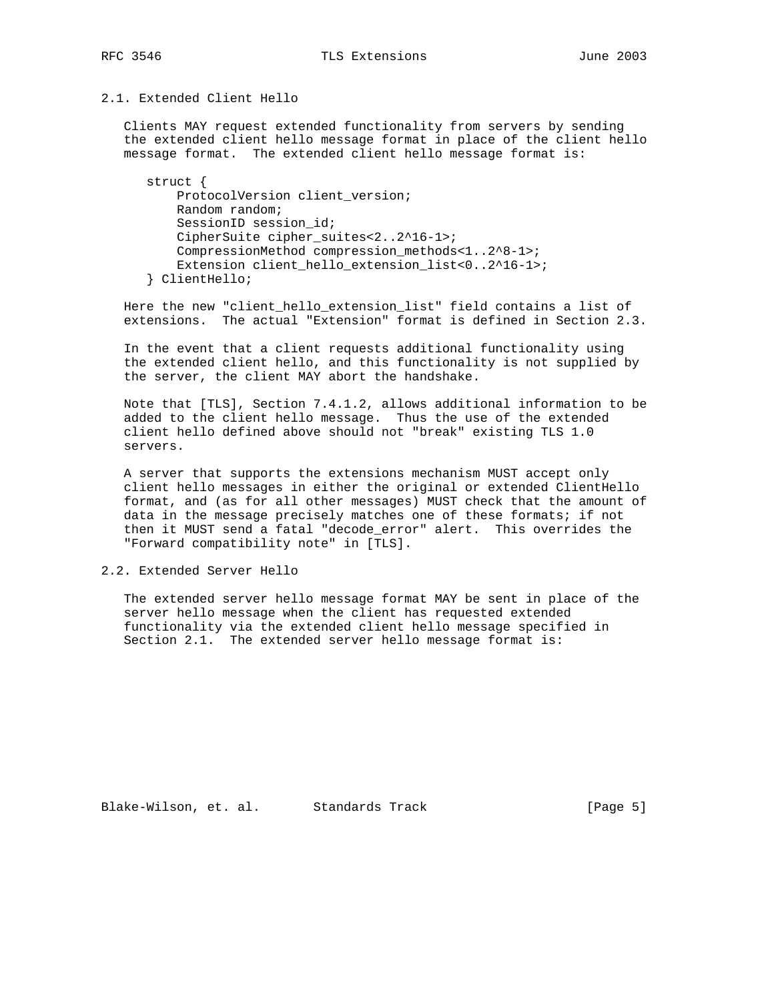## 2.1. Extended Client Hello

 Clients MAY request extended functionality from servers by sending the extended client hello message format in place of the client hello message format. The extended client hello message format is:

 struct { ProtocolVersion client\_version; Random random; SessionID session id; CipherSuite cipher\_suites<2..2^16-1>; CompressionMethod compression\_methods<1..2^8-1>; Extension client\_hello\_extension\_list<0..2^16-1>; } ClientHello;

 Here the new "client\_hello\_extension\_list" field contains a list of extensions. The actual "Extension" format is defined in Section 2.3.

 In the event that a client requests additional functionality using the extended client hello, and this functionality is not supplied by the server, the client MAY abort the handshake.

 Note that [TLS], Section 7.4.1.2, allows additional information to be added to the client hello message. Thus the use of the extended client hello defined above should not "break" existing TLS 1.0 servers.

 A server that supports the extensions mechanism MUST accept only client hello messages in either the original or extended ClientHello format, and (as for all other messages) MUST check that the amount of data in the message precisely matches one of these formats; if not then it MUST send a fatal "decode\_error" alert. This overrides the "Forward compatibility note" in [TLS].

2.2. Extended Server Hello

 The extended server hello message format MAY be sent in place of the server hello message when the client has requested extended functionality via the extended client hello message specified in Section 2.1. The extended server hello message format is:

Blake-Wilson, et. al. Standards Track [Page 5]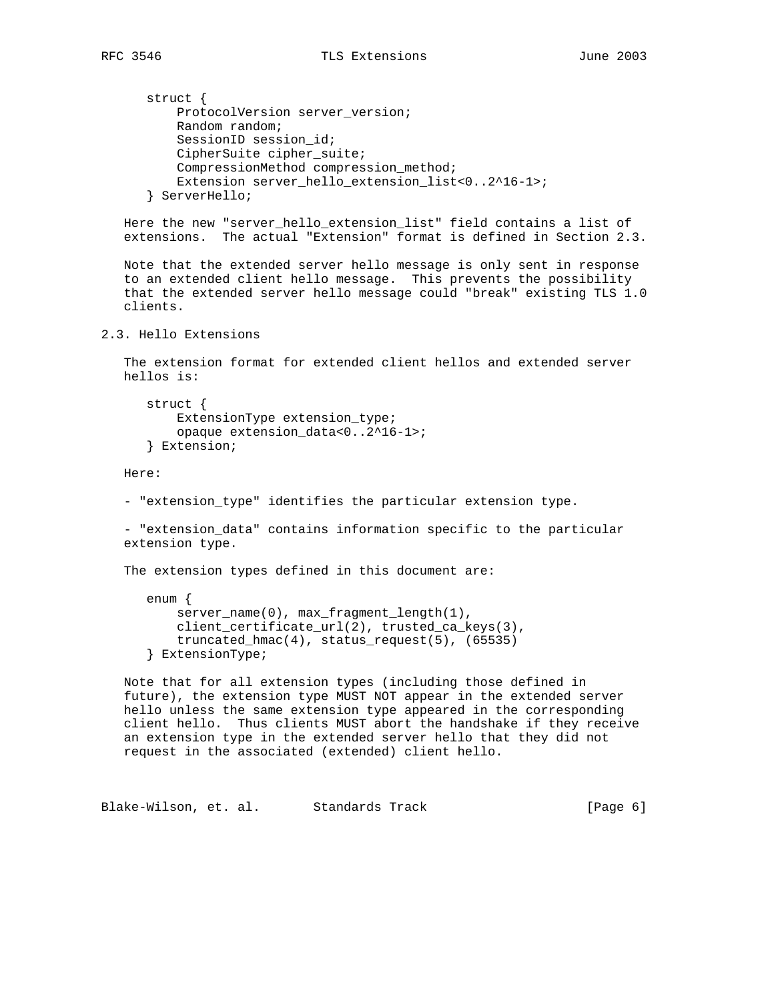```
 struct {
           ProtocolVersion server_version;
           Random random;
          SessionID session id;
           CipherSuite cipher_suite;
           CompressionMethod compression_method;
           Extension server_hello_extension_list<0..2^16-1>;
       } ServerHello;
   Here the new "server_hello_extension_list" field contains a list of
   extensions. The actual "Extension" format is defined in Section 2.3.
   Note that the extended server hello message is only sent in response
    to an extended client hello message. This prevents the possibility
    that the extended server hello message could "break" existing TLS 1.0
    clients.
2.3. Hello Extensions
    The extension format for extended client hellos and extended server
   hellos is:
       struct {
          ExtensionType extension_type;
           opaque extension_data<0..2^16-1>;
       } Extension;
   Here:
    - "extension_type" identifies the particular extension type.
    - "extension_data" contains information specific to the particular
   extension type.
    The extension types defined in this document are:
      enum {
         server_name(0), max_fragment_length(1),
           client_certificate_url(2), trusted_ca_keys(3),
          truncated hmac(4), status request(5), (65535)
       } ExtensionType;
   Note that for all extension types (including those defined in
    future), the extension type MUST NOT appear in the extended server
   hello unless the same extension type appeared in the corresponding
   client hello. Thus clients MUST abort the handshake if they receive
   an extension type in the extended server hello that they did not
   request in the associated (extended) client hello.
Blake-Wilson, et. al. Standards Track (Page 6)
```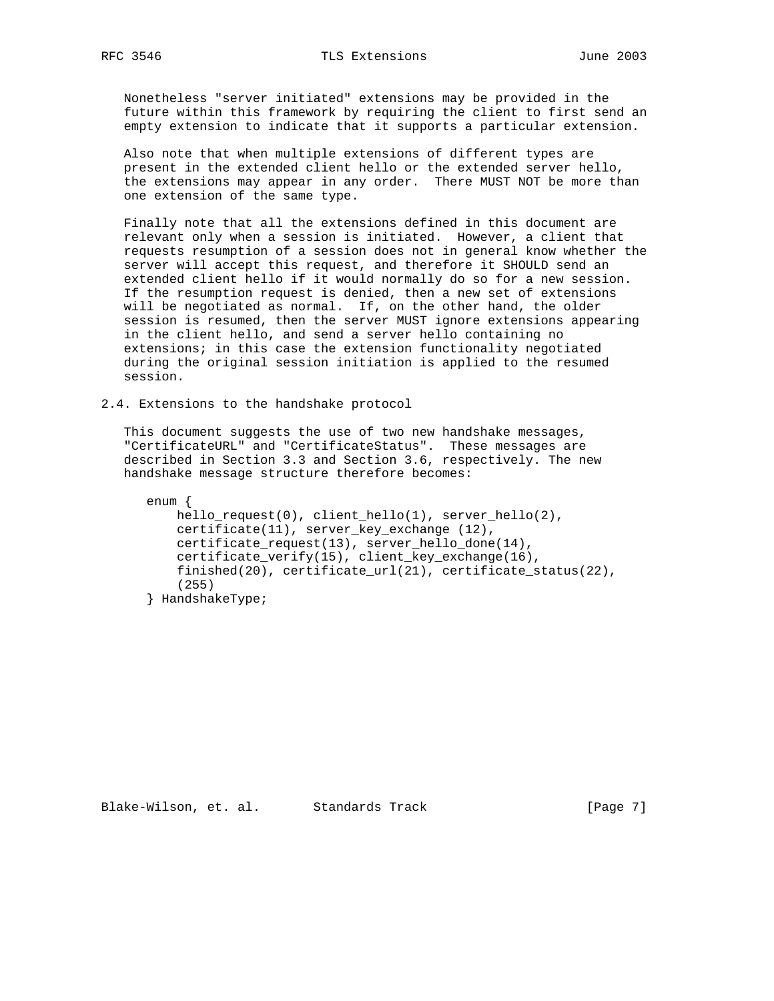Nonetheless "server initiated" extensions may be provided in the future within this framework by requiring the client to first send an empty extension to indicate that it supports a particular extension.

 Also note that when multiple extensions of different types are present in the extended client hello or the extended server hello, the extensions may appear in any order. There MUST NOT be more than one extension of the same type.

 Finally note that all the extensions defined in this document are relevant only when a session is initiated. However, a client that requests resumption of a session does not in general know whether the server will accept this request, and therefore it SHOULD send an extended client hello if it would normally do so for a new session. If the resumption request is denied, then a new set of extensions will be negotiated as normal. If, on the other hand, the older session is resumed, then the server MUST ignore extensions appearing in the client hello, and send a server hello containing no extensions; in this case the extension functionality negotiated during the original session initiation is applied to the resumed session.

2.4. Extensions to the handshake protocol

 This document suggests the use of two new handshake messages, "CertificateURL" and "CertificateStatus". These messages are described in Section 3.3 and Section 3.6, respectively. The new handshake message structure therefore becomes:

 enum { hello\_request(0), client\_hello(1), server\_hello(2), certificate(11), server\_key\_exchange (12), certificate\_request(13), server\_hello\_done(14), certificate\_verify(15), client\_key\_exchange(16), finished(20), certificate\_url(21), certificate\_status(22), (255) } HandshakeType;

Blake-Wilson, et. al. Standards Track [Page 7]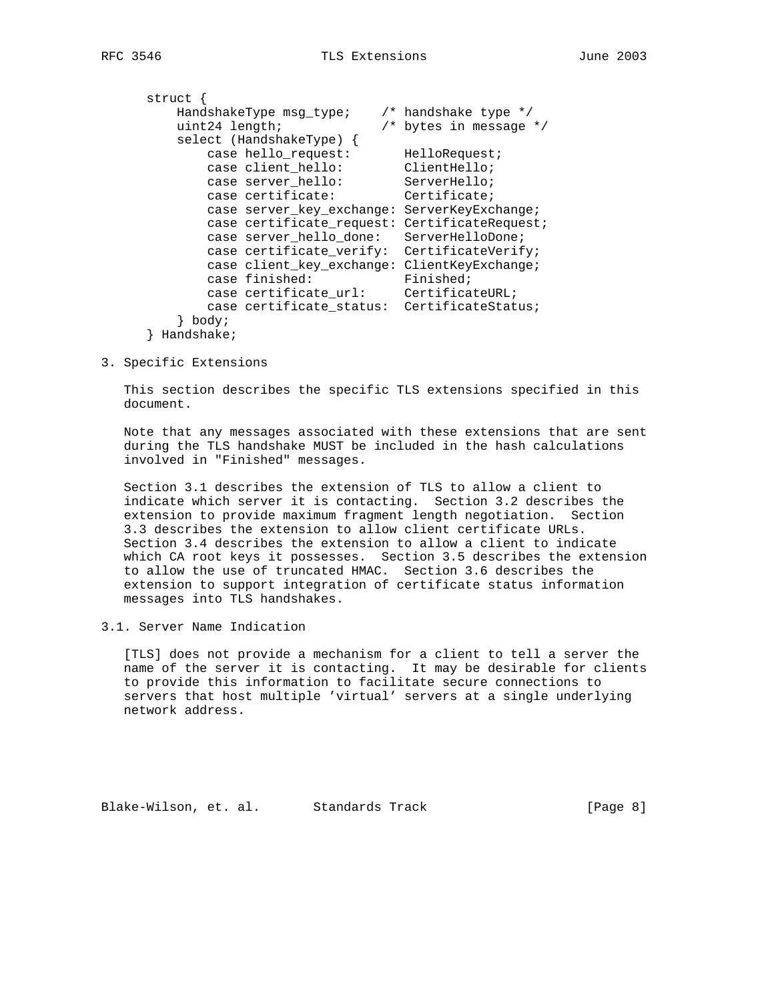| struct         |                            |                            |
|----------------|----------------------------|----------------------------|
|                | HandshakeType msq type;    | $/*$ handshake type $*/$   |
| uint24 length; |                            | $/*$ bytes in message $*/$ |
|                | $select$ (HandshakeType) { |                            |
|                | case hello request:        | HelloRequest;              |
|                | case client hello:         | ClientHello;               |
|                | case server hello:         | ServerHello;               |
|                | case certificate:          | Certificate;               |
|                | case server key exchange:  | ServerKeyExchange;         |
|                | case certificate request:  | CertificateRequest;        |
|                | case server hello done:    | ServerHelloDone;           |
|                | case certificate verify:   | CertificateVerify;         |
|                | case client key exchange:  | ClientKeyExchange;         |
|                | case finished:             | Finished;                  |
|                | case certificate url:      | CertificateURL;            |
|                | case certificate status:   | CertificateStatus;         |
| body;          |                            |                            |
| $TT - 1$       |                            |                            |

- } Handshake;
- 3. Specific Extensions

 This section describes the specific TLS extensions specified in this document.

 Note that any messages associated with these extensions that are sent during the TLS handshake MUST be included in the hash calculations involved in "Finished" messages.

 Section 3.1 describes the extension of TLS to allow a client to indicate which server it is contacting. Section 3.2 describes the extension to provide maximum fragment length negotiation. Section 3.3 describes the extension to allow client certificate URLs. Section 3.4 describes the extension to allow a client to indicate which CA root keys it possesses. Section 3.5 describes the extension to allow the use of truncated HMAC. Section 3.6 describes the extension to support integration of certificate status information messages into TLS handshakes.

3.1. Server Name Indication

 [TLS] does not provide a mechanism for a client to tell a server the name of the server it is contacting. It may be desirable for clients to provide this information to facilitate secure connections to servers that host multiple 'virtual' servers at a single underlying network address.

Blake-Wilson, et. al. Standards Track (Page 8)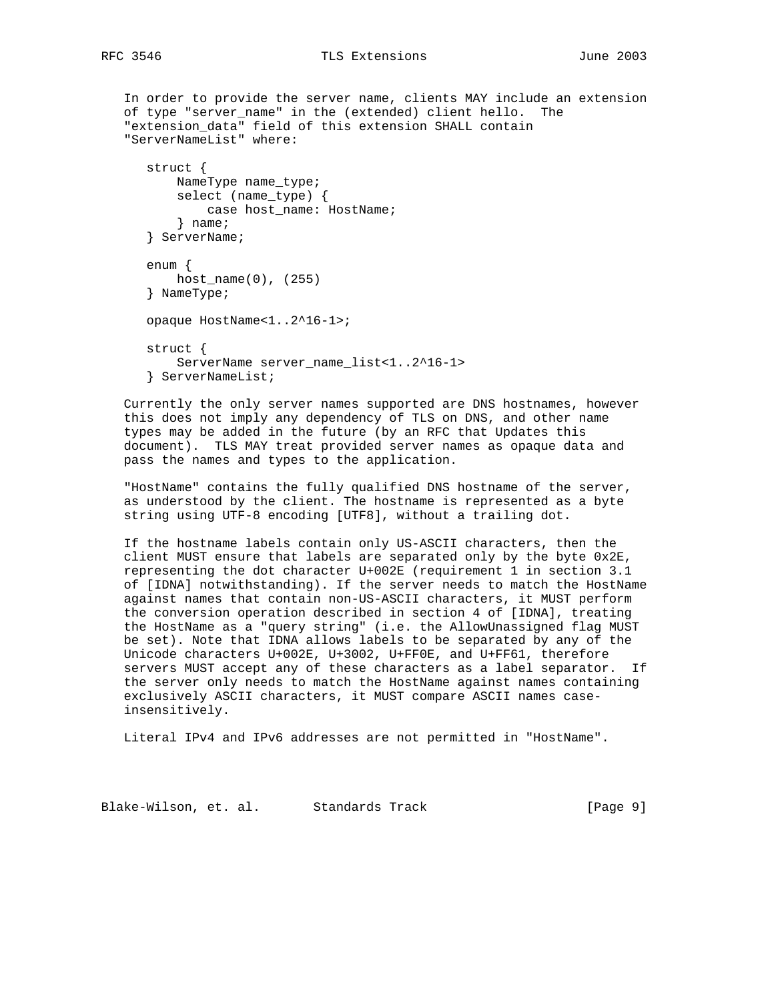```
 In order to provide the server name, clients MAY include an extension
 of type "server_name" in the (extended) client hello. The
 "extension_data" field of this extension SHALL contain
 "ServerNameList" where:
    struct {
       NameType name_type;
        select (name_type) {
            case host_name: HostName;
        } name;
    } ServerName;
    enum {
      host_name(0), (255)
    } NameType;
    opaque HostName<1..2^16-1>;
    struct {
       ServerName server_name_list<1..2^16-1>
    } ServerNameList;
```
 Currently the only server names supported are DNS hostnames, however this does not imply any dependency of TLS on DNS, and other name types may be added in the future (by an RFC that Updates this document). TLS MAY treat provided server names as opaque data and pass the names and types to the application.

 "HostName" contains the fully qualified DNS hostname of the server, as understood by the client. The hostname is represented as a byte string using UTF-8 encoding [UTF8], without a trailing dot.

 If the hostname labels contain only US-ASCII characters, then the client MUST ensure that labels are separated only by the byte 0x2E, representing the dot character U+002E (requirement 1 in section 3.1 of [IDNA] notwithstanding). If the server needs to match the HostName against names that contain non-US-ASCII characters, it MUST perform the conversion operation described in section 4 of [IDNA], treating the HostName as a "query string" (i.e. the AllowUnassigned flag MUST be set). Note that IDNA allows labels to be separated by any of the Unicode characters U+002E, U+3002, U+FF0E, and U+FF61, therefore servers MUST accept any of these characters as a label separator. If the server only needs to match the HostName against names containing exclusively ASCII characters, it MUST compare ASCII names case insensitively.

Literal IPv4 and IPv6 addresses are not permitted in "HostName".

Blake-Wilson, et. al. Standards Track [Page 9]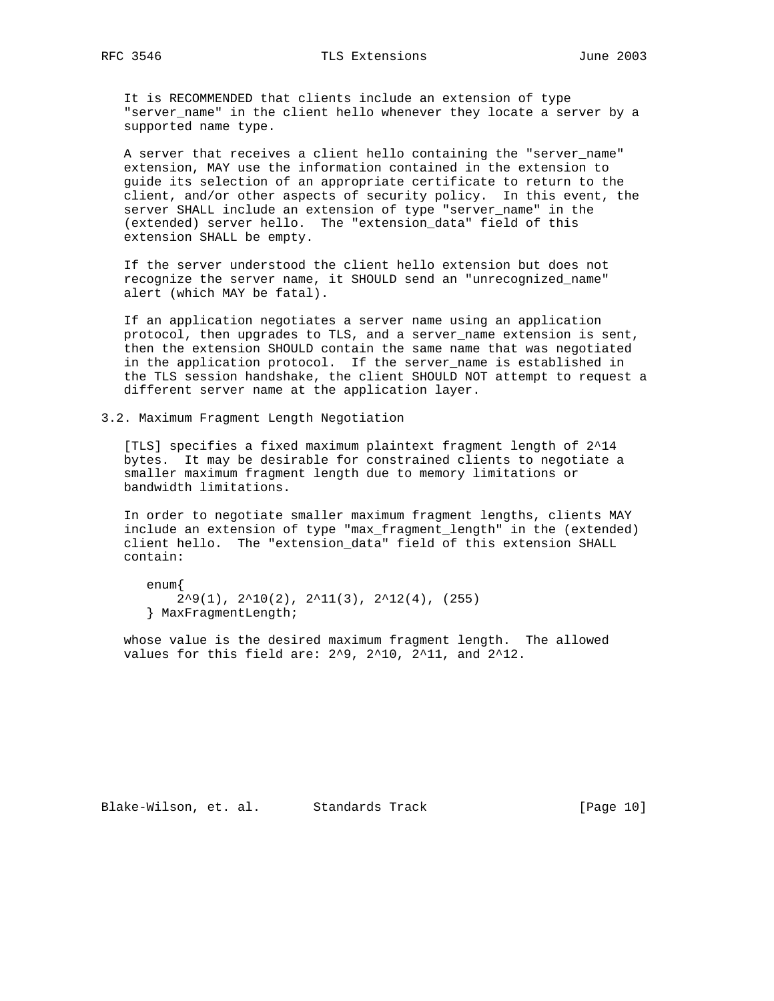It is RECOMMENDED that clients include an extension of type "server\_name" in the client hello whenever they locate a server by a supported name type.

 A server that receives a client hello containing the "server\_name" extension, MAY use the information contained in the extension to guide its selection of an appropriate certificate to return to the client, and/or other aspects of security policy. In this event, the server SHALL include an extension of type "server\_name" in the (extended) server hello. The "extension\_data" field of this extension SHALL be empty.

 If the server understood the client hello extension but does not recognize the server name, it SHOULD send an "unrecognized\_name" alert (which MAY be fatal).

 If an application negotiates a server name using an application protocol, then upgrades to TLS, and a server\_name extension is sent, then the extension SHOULD contain the same name that was negotiated in the application protocol. If the server\_name is established in the TLS session handshake, the client SHOULD NOT attempt to request a different server name at the application layer.

3.2. Maximum Fragment Length Negotiation

 [TLS] specifies a fixed maximum plaintext fragment length of 2^14 bytes. It may be desirable for constrained clients to negotiate a smaller maximum fragment length due to memory limitations or bandwidth limitations.

 In order to negotiate smaller maximum fragment lengths, clients MAY include an extension of type "max\_fragment\_length" in the (extended) client hello. The "extension\_data" field of this extension SHALL contain:

```
 enum{
    2^29(1), 2^210(2), 2^211(3), 2^212(4), (255)
 } MaxFragmentLength;
```
 whose value is the desired maximum fragment length. The allowed values for this field are: 2^9, 2^10, 2^11, and 2^12.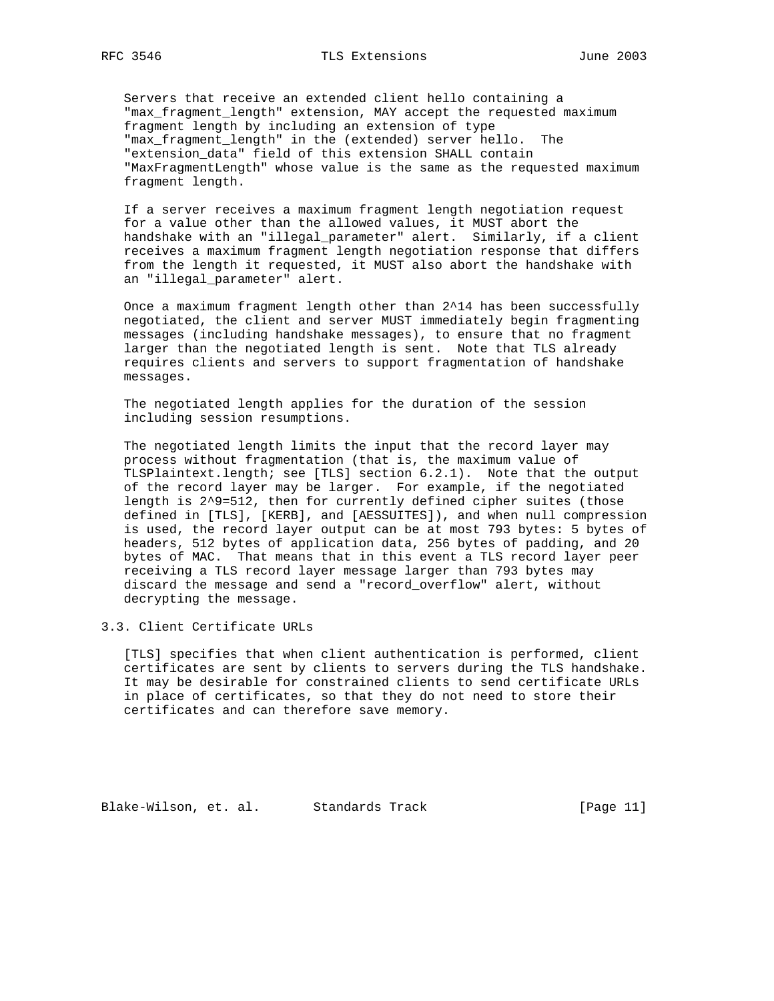Servers that receive an extended client hello containing a "max\_fragment\_length" extension, MAY accept the requested maximum fragment length by including an extension of type "max\_fragment\_length" in the (extended) server hello. The "extension\_data" field of this extension SHALL contain "MaxFragmentLength" whose value is the same as the requested maximum fragment length.

 If a server receives a maximum fragment length negotiation request for a value other than the allowed values, it MUST abort the handshake with an "illegal\_parameter" alert. Similarly, if a client receives a maximum fragment length negotiation response that differs from the length it requested, it MUST also abort the handshake with an "illegal\_parameter" alert.

 Once a maximum fragment length other than 2^14 has been successfully negotiated, the client and server MUST immediately begin fragmenting messages (including handshake messages), to ensure that no fragment larger than the negotiated length is sent. Note that TLS already requires clients and servers to support fragmentation of handshake messages.

 The negotiated length applies for the duration of the session including session resumptions.

 The negotiated length limits the input that the record layer may process without fragmentation (that is, the maximum value of TLSPlaintext.length; see [TLS] section 6.2.1). Note that the output of the record layer may be larger. For example, if the negotiated length is 2^9=512, then for currently defined cipher suites (those defined in [TLS], [KERB], and [AESSUITES]), and when null compression is used, the record layer output can be at most 793 bytes: 5 bytes of headers, 512 bytes of application data, 256 bytes of padding, and 20 bytes of MAC. That means that in this event a TLS record layer peer receiving a TLS record layer message larger than 793 bytes may discard the message and send a "record\_overflow" alert, without decrypting the message.

3.3. Client Certificate URLs

 [TLS] specifies that when client authentication is performed, client certificates are sent by clients to servers during the TLS handshake. It may be desirable for constrained clients to send certificate URLs in place of certificates, so that they do not need to store their certificates and can therefore save memory.

Blake-Wilson, et. al. Standards Track [Page 11]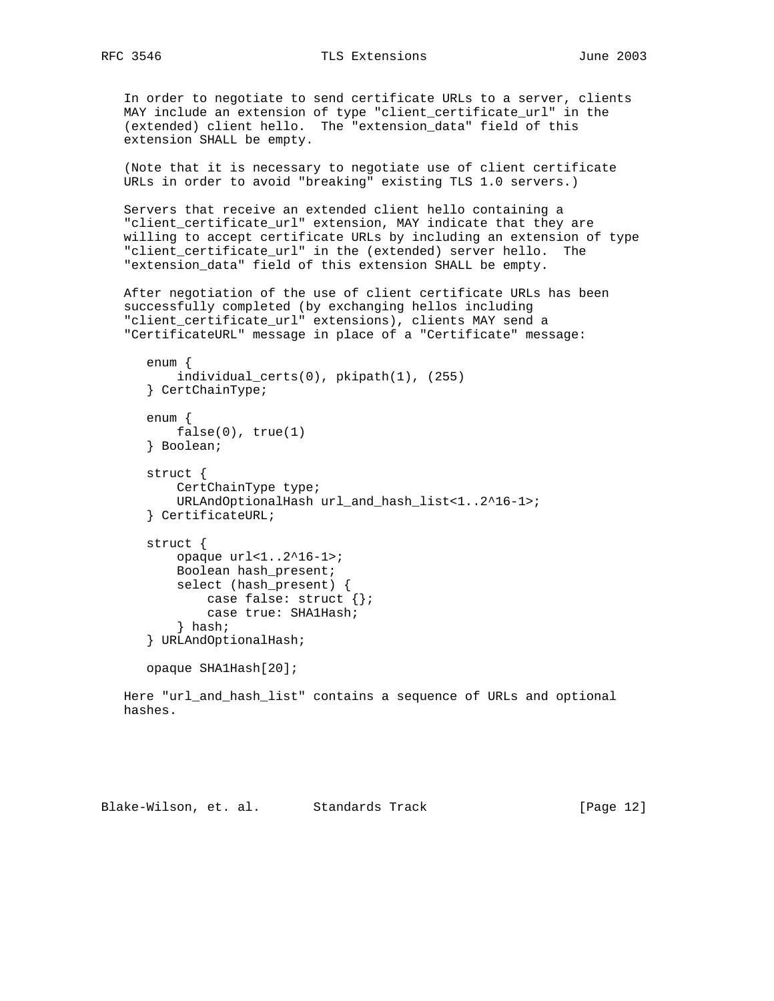In order to negotiate to send certificate URLs to a server, clients MAY include an extension of type "client\_certificate\_url" in the (extended) client hello. The "extension\_data" field of this extension SHALL be empty.

 (Note that it is necessary to negotiate use of client certificate URLs in order to avoid "breaking" existing TLS 1.0 servers.)

 Servers that receive an extended client hello containing a "client certificate url" extension, MAY indicate that they are willing to accept certificate URLs by including an extension of type "client\_certificate\_url" in the (extended) server hello. The "extension\_data" field of this extension SHALL be empty.

 After negotiation of the use of client certificate URLs has been successfully completed (by exchanging hellos including "client\_certificate\_url" extensions), clients MAY send a "CertificateURL" message in place of a "Certificate" message:

```
 enum {
     individual_certs(0), pkipath(1), (255)
 } CertChainType;
 enum {
    false(0), true(1)
 } Boolean;
 struct {
     CertChainType type;
     URLAndOptionalHash url_and_hash_list<1..2^16-1>;
 } CertificateURL;
 struct {
     opaque url<1..2^16-1>;
     Boolean hash_present;
     select (hash_present) {
        case false: struct {};
        case true: SHA1Hash;
     } hash;
 } URLAndOptionalHash;
 opaque SHA1Hash[20];
```
 Here "url\_and\_hash\_list" contains a sequence of URLs and optional hashes.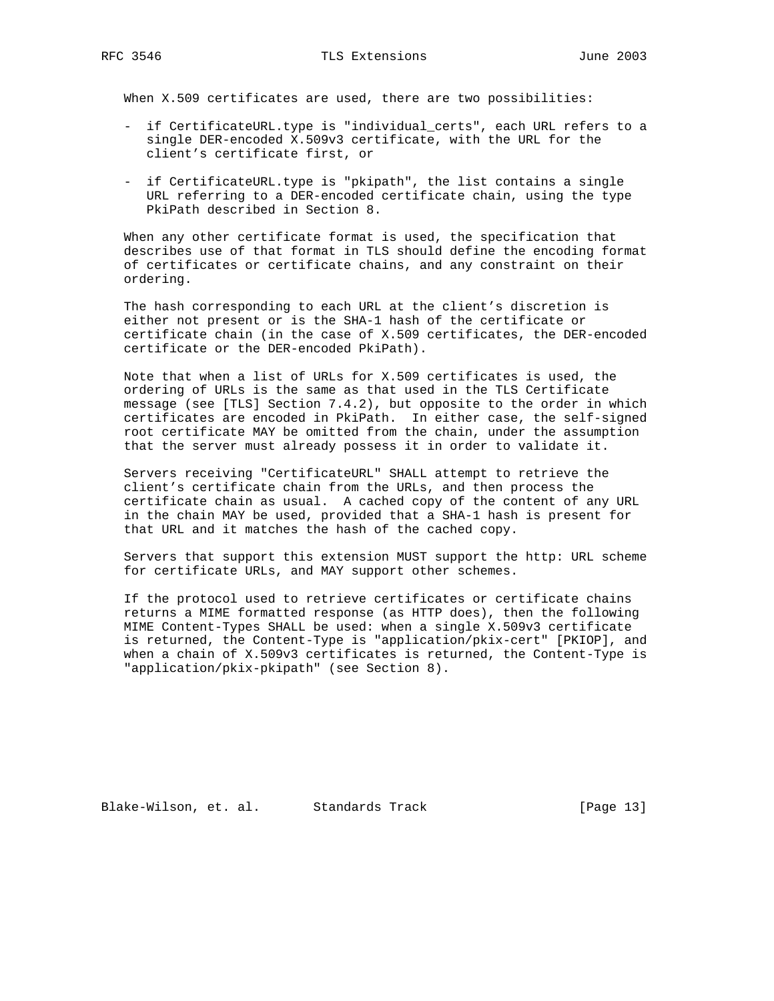When X.509 certificates are used, there are two possibilities:

- if CertificateURL.type is "individual\_certs", each URL refers to a single DER-encoded X.509v3 certificate, with the URL for the client's certificate first, or
- if CertificateURL.type is "pkipath", the list contains a single URL referring to a DER-encoded certificate chain, using the type PkiPath described in Section 8.

 When any other certificate format is used, the specification that describes use of that format in TLS should define the encoding format of certificates or certificate chains, and any constraint on their ordering.

 The hash corresponding to each URL at the client's discretion is either not present or is the SHA-1 hash of the certificate or certificate chain (in the case of X.509 certificates, the DER-encoded certificate or the DER-encoded PkiPath).

 Note that when a list of URLs for X.509 certificates is used, the ordering of URLs is the same as that used in the TLS Certificate message (see [TLS] Section 7.4.2), but opposite to the order in which certificates are encoded in PkiPath. In either case, the self-signed root certificate MAY be omitted from the chain, under the assumption that the server must already possess it in order to validate it.

 Servers receiving "CertificateURL" SHALL attempt to retrieve the client's certificate chain from the URLs, and then process the certificate chain as usual. A cached copy of the content of any URL in the chain MAY be used, provided that a SHA-1 hash is present for that URL and it matches the hash of the cached copy.

 Servers that support this extension MUST support the http: URL scheme for certificate URLs, and MAY support other schemes.

 If the protocol used to retrieve certificates or certificate chains returns a MIME formatted response (as HTTP does), then the following MIME Content-Types SHALL be used: when a single X.509v3 certificate is returned, the Content-Type is "application/pkix-cert" [PKIOP], and when a chain of X.509v3 certificates is returned, the Content-Type is "application/pkix-pkipath" (see Section 8).

Blake-Wilson, et. al. Standards Track [Page 13]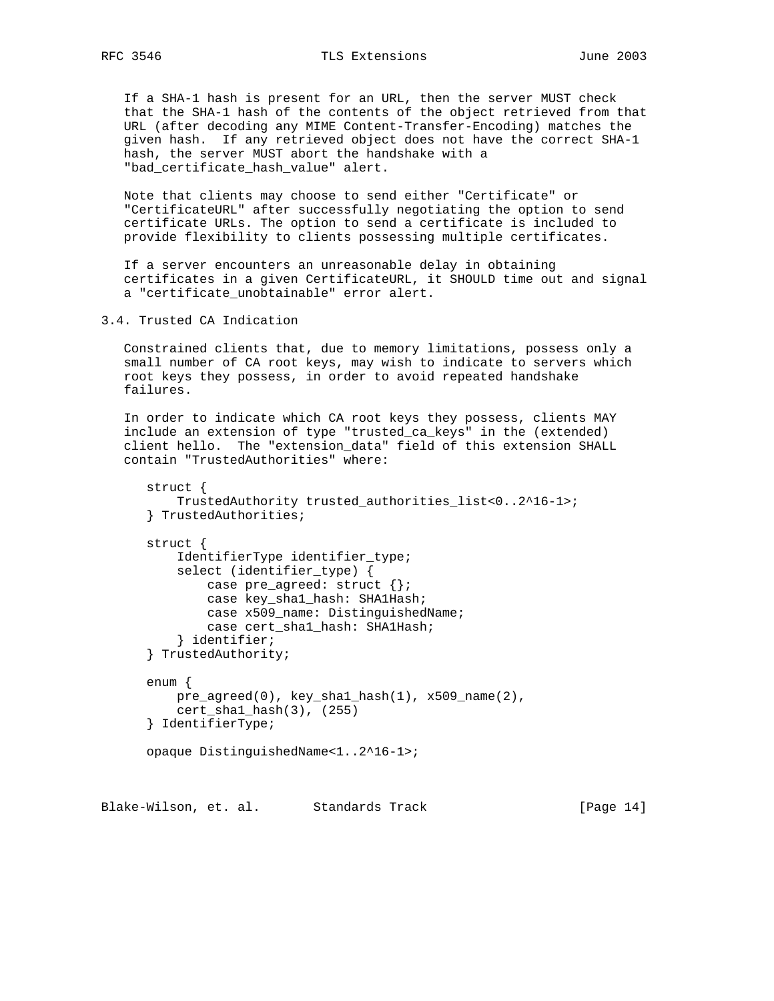If a SHA-1 hash is present for an URL, then the server MUST check that the SHA-1 hash of the contents of the object retrieved from that URL (after decoding any MIME Content-Transfer-Encoding) matches the given hash. If any retrieved object does not have the correct SHA-1 hash, the server MUST abort the handshake with a "bad\_certificate\_hash\_value" alert.

 Note that clients may choose to send either "Certificate" or "CertificateURL" after successfully negotiating the option to send certificate URLs. The option to send a certificate is included to provide flexibility to clients possessing multiple certificates.

 If a server encounters an unreasonable delay in obtaining certificates in a given CertificateURL, it SHOULD time out and signal a "certificate\_unobtainable" error alert.

3.4. Trusted CA Indication

 Constrained clients that, due to memory limitations, possess only a small number of CA root keys, may wish to indicate to servers which root keys they possess, in order to avoid repeated handshake failures.

 In order to indicate which CA root keys they possess, clients MAY include an extension of type "trusted\_ca\_keys" in the (extended) client hello. The "extension\_data" field of this extension SHALL contain "TrustedAuthorities" where:

```
 struct {
     TrustedAuthority trusted_authorities_list<0..2^16-1>;
 } TrustedAuthorities;
 struct {
   IdentifierType identifier type;
     select (identifier_type) {
         case pre_agreed: struct {};
         case key_sha1_hash: SHA1Hash;
         case x509_name: DistinguishedName;
         case cert_sha1_hash: SHA1Hash;
     } identifier;
 } TrustedAuthority;
 enum {
    pre\_agreed(0), key\_sha1\_hash(1), x509\_name(2),
     cert_sha1_hash(3), (255)
 } IdentifierType;
 opaque DistinguishedName<1..2^16-1>;
```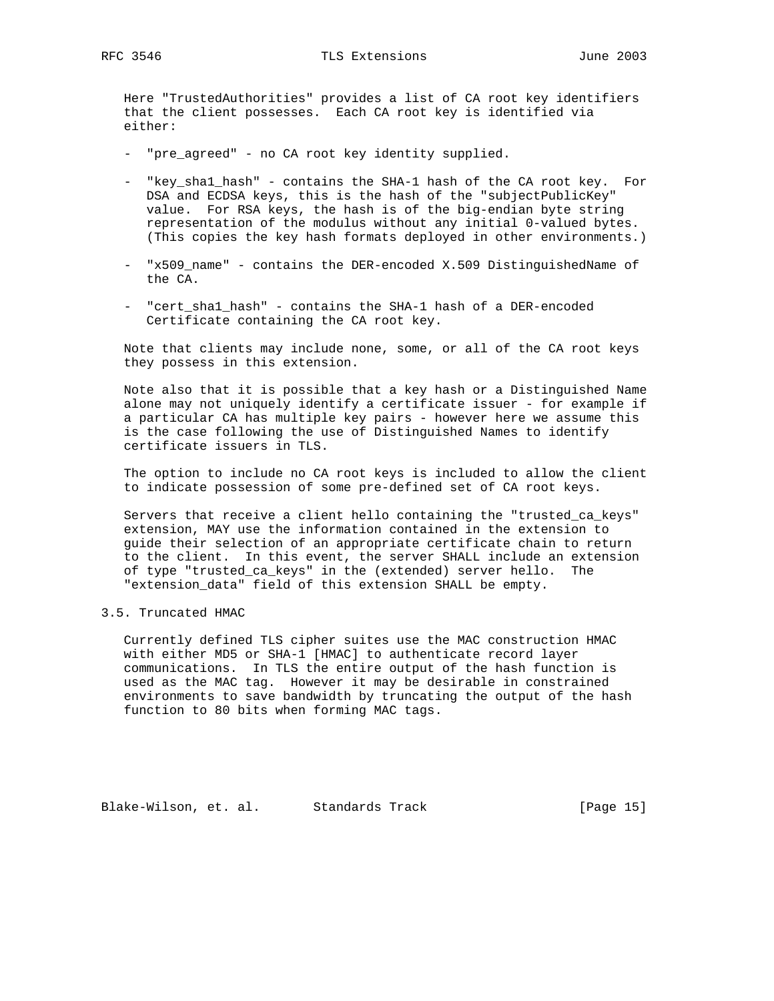Here "TrustedAuthorities" provides a list of CA root key identifiers that the client possesses. Each CA root key is identified via either:

- "pre\_agreed" no CA root key identity supplied.
- "key\_sha1\_hash" contains the SHA-1 hash of the CA root key. For DSA and ECDSA keys, this is the hash of the "subjectPublicKey" value. For RSA keys, the hash is of the big-endian byte string representation of the modulus without any initial 0-valued bytes. (This copies the key hash formats deployed in other environments.)
- "x509 name" contains the DER-encoded X.509 DistinguishedName of the CA.
- "cert\_sha1\_hash" contains the SHA-1 hash of a DER-encoded Certificate containing the CA root key.

 Note that clients may include none, some, or all of the CA root keys they possess in this extension.

 Note also that it is possible that a key hash or a Distinguished Name alone may not uniquely identify a certificate issuer - for example if a particular CA has multiple key pairs - however here we assume this is the case following the use of Distinguished Names to identify certificate issuers in TLS.

 The option to include no CA root keys is included to allow the client to indicate possession of some pre-defined set of CA root keys.

 Servers that receive a client hello containing the "trusted\_ca\_keys" extension, MAY use the information contained in the extension to guide their selection of an appropriate certificate chain to return to the client. In this event, the server SHALL include an extension of type "trusted\_ca\_keys" in the (extended) server hello. The "extension\_data" field of this extension SHALL be empty.

#### 3.5. Truncated HMAC

 Currently defined TLS cipher suites use the MAC construction HMAC with either MD5 or SHA-1 [HMAC] to authenticate record layer communications. In TLS the entire output of the hash function is used as the MAC tag. However it may be desirable in constrained environments to save bandwidth by truncating the output of the hash function to 80 bits when forming MAC tags.

Blake-Wilson, et. al. Standards Track [Page 15]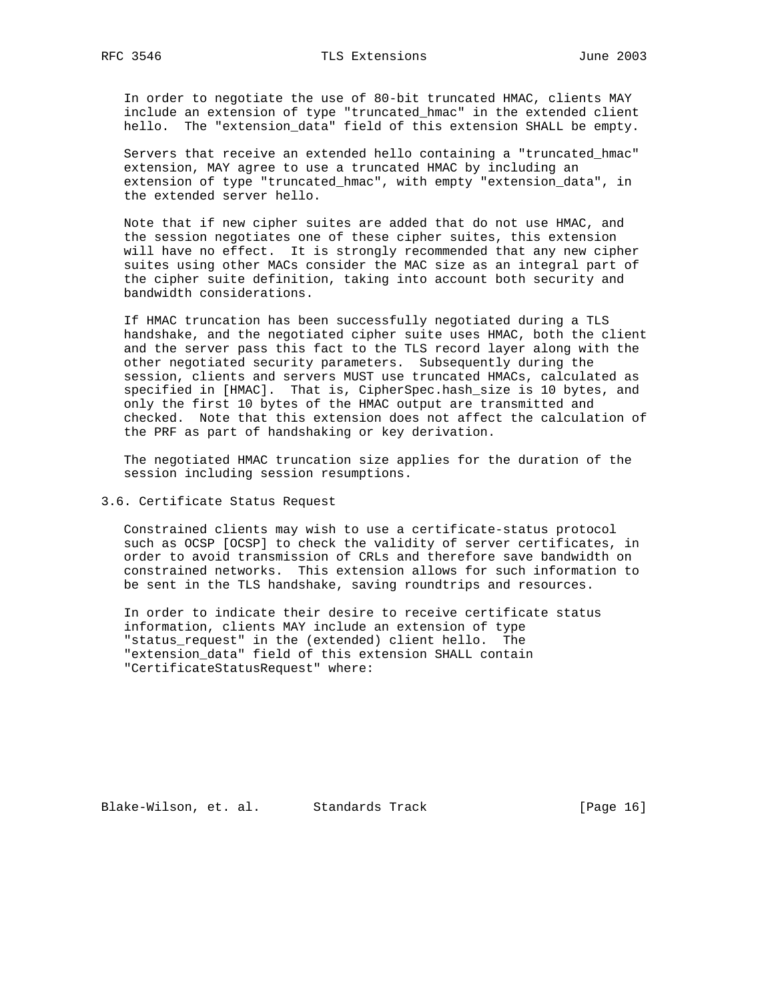In order to negotiate the use of 80-bit truncated HMAC, clients MAY include an extension of type "truncated\_hmac" in the extended client hello. The "extension\_data" field of this extension SHALL be empty.

 Servers that receive an extended hello containing a "truncated\_hmac" extension, MAY agree to use a truncated HMAC by including an extension of type "truncated\_hmac", with empty "extension\_data", in the extended server hello.

 Note that if new cipher suites are added that do not use HMAC, and the session negotiates one of these cipher suites, this extension will have no effect. It is strongly recommended that any new cipher suites using other MACs consider the MAC size as an integral part of the cipher suite definition, taking into account both security and bandwidth considerations.

 If HMAC truncation has been successfully negotiated during a TLS handshake, and the negotiated cipher suite uses HMAC, both the client and the server pass this fact to the TLS record layer along with the other negotiated security parameters. Subsequently during the session, clients and servers MUST use truncated HMACs, calculated as specified in [HMAC]. That is, CipherSpec.hash\_size is 10 bytes, and only the first 10 bytes of the HMAC output are transmitted and checked. Note that this extension does not affect the calculation of the PRF as part of handshaking or key derivation.

 The negotiated HMAC truncation size applies for the duration of the session including session resumptions.

3.6. Certificate Status Request

 Constrained clients may wish to use a certificate-status protocol such as OCSP [OCSP] to check the validity of server certificates, in order to avoid transmission of CRLs and therefore save bandwidth on constrained networks. This extension allows for such information to be sent in the TLS handshake, saving roundtrips and resources.

 In order to indicate their desire to receive certificate status information, clients MAY include an extension of type "status\_request" in the (extended) client hello. The "extension\_data" field of this extension SHALL contain "CertificateStatusRequest" where:

Blake-Wilson, et. al. Standards Track [Page 16]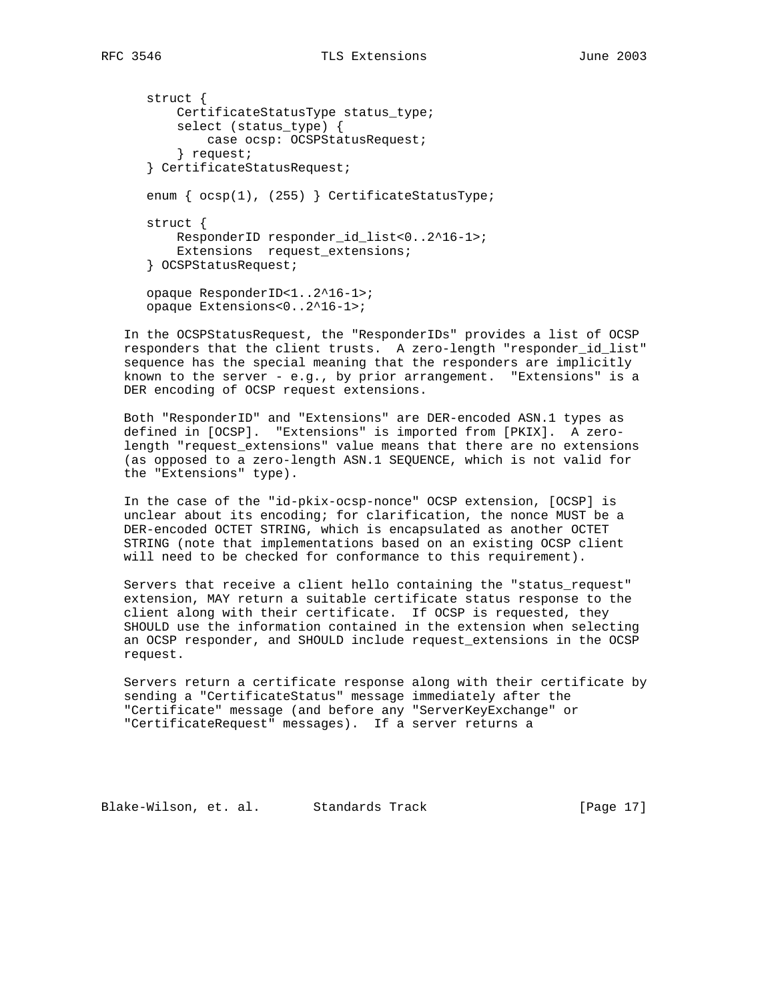struct { CertificateStatusType status\_type; select (status\_type) { case ocsp: OCSPStatusRequest; } request; } CertificateStatusRequest; enum {  $ocsp(1)$ , (255) } CertificateStatusType; struct { ResponderID responder\_id\_list<0..2^16-1>; Extensions request\_extensions; } OCSPStatusRequest; opaque ResponderID<1..2^16-1>; opaque Extensions<0..2^16-1>;

 In the OCSPStatusRequest, the "ResponderIDs" provides a list of OCSP responders that the client trusts. A zero-length "responder\_id\_list" sequence has the special meaning that the responders are implicitly known to the server - e.g., by prior arrangement. "Extensions" is a DER encoding of OCSP request extensions.

 Both "ResponderID" and "Extensions" are DER-encoded ASN.1 types as defined in [OCSP]. "Extensions" is imported from [PKIX]. A zero length "request\_extensions" value means that there are no extensions (as opposed to a zero-length ASN.1 SEQUENCE, which is not valid for the "Extensions" type).

 In the case of the "id-pkix-ocsp-nonce" OCSP extension, [OCSP] is unclear about its encoding; for clarification, the nonce MUST be a DER-encoded OCTET STRING, which is encapsulated as another OCTET STRING (note that implementations based on an existing OCSP client will need to be checked for conformance to this requirement).

 Servers that receive a client hello containing the "status\_request" extension, MAY return a suitable certificate status response to the client along with their certificate. If OCSP is requested, they SHOULD use the information contained in the extension when selecting an OCSP responder, and SHOULD include request\_extensions in the OCSP request.

 Servers return a certificate response along with their certificate by sending a "CertificateStatus" message immediately after the "Certificate" message (and before any "ServerKeyExchange" or "CertificateRequest" messages). If a server returns a

Blake-Wilson, et. al. Standards Track [Page 17]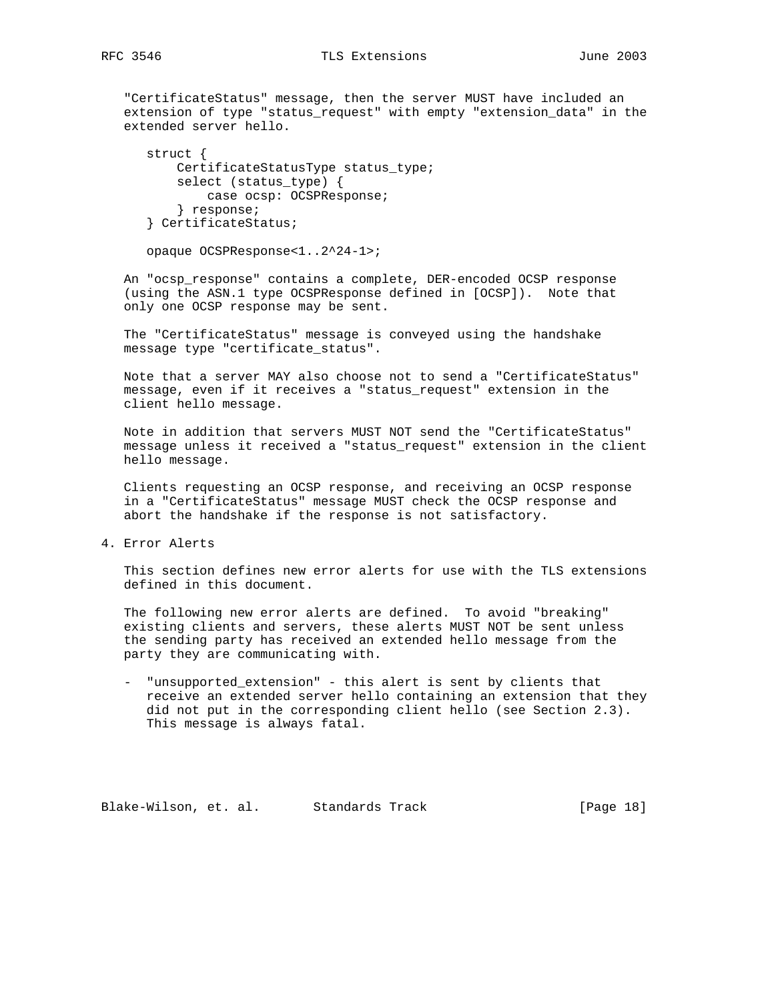"CertificateStatus" message, then the server MUST have included an extension of type "status\_request" with empty "extension\_data" in the extended server hello.

```
 struct {
     CertificateStatusType status_type;
     select (status_type) {
        case ocsp: OCSPResponse;
     } response;
 } CertificateStatus;
```
opaque OCSPResponse<1..2^24-1>;

 An "ocsp\_response" contains a complete, DER-encoded OCSP response (using the ASN.1 type OCSPResponse defined in [OCSP]). Note that only one OCSP response may be sent.

 The "CertificateStatus" message is conveyed using the handshake message type "certificate\_status".

 Note that a server MAY also choose not to send a "CertificateStatus" message, even if it receives a "status\_request" extension in the client hello message.

 Note in addition that servers MUST NOT send the "CertificateStatus" message unless it received a "status\_request" extension in the client hello message.

 Clients requesting an OCSP response, and receiving an OCSP response in a "CertificateStatus" message MUST check the OCSP response and abort the handshake if the response is not satisfactory.

4. Error Alerts

 This section defines new error alerts for use with the TLS extensions defined in this document.

 The following new error alerts are defined. To avoid "breaking" existing clients and servers, these alerts MUST NOT be sent unless the sending party has received an extended hello message from the party they are communicating with.

 - "unsupported\_extension" - this alert is sent by clients that receive an extended server hello containing an extension that they did not put in the corresponding client hello (see Section 2.3). This message is always fatal.

Blake-Wilson, et. al. Standards Track [Page 18]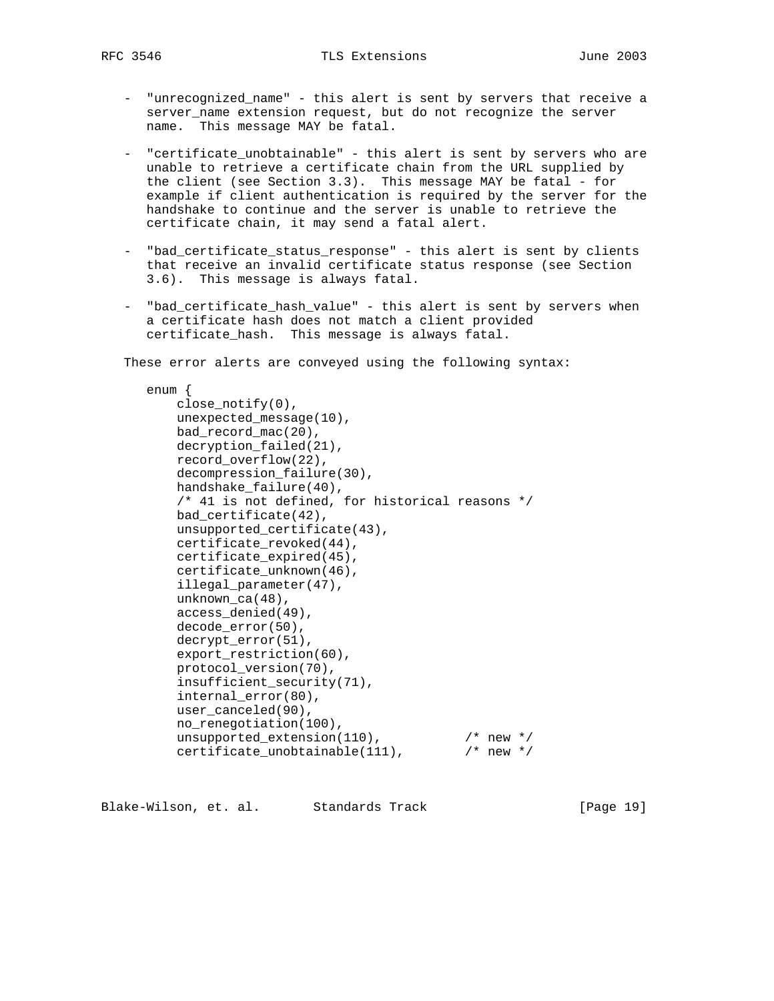- "unrecognized\_name" this alert is sent by servers that receive a server\_name extension request, but do not recognize the server name. This message MAY be fatal.
- "certificate\_unobtainable" this alert is sent by servers who are unable to retrieve a certificate chain from the URL supplied by the client (see Section 3.3). This message MAY be fatal - for example if client authentication is required by the server for the handshake to continue and the server is unable to retrieve the certificate chain, it may send a fatal alert.
- "bad\_certificate\_status\_response" this alert is sent by clients that receive an invalid certificate status response (see Section 3.6). This message is always fatal.
- "bad\_certificate\_hash\_value" this alert is sent by servers when a certificate hash does not match a client provided certificate\_hash. This message is always fatal.

These error alerts are conveyed using the following syntax:

 enum { close\_notify(0), unexpected\_message(10), bad\_record\_mac(20), decryption\_failed(21), record\_overflow(22), decompression\_failure(30), handshake\_failure(40), /\* 41 is not defined, for historical reasons \*/ bad\_certificate(42), unsupported\_certificate(43), certificate\_revoked(44), certificate\_expired(45), certificate\_unknown(46), illegal\_parameter(47), unknown\_ca(48), access\_denied(49), decode\_error(50), decrypt\_error(51), export\_restriction(60), protocol\_version(70), insufficient\_security(71), internal\_error(80), user\_canceled(90), no\_renegotiation(100), unsupported\_extension(110), /\* new \*/ certificate\_unobtainable(111), /\* new \*/

Blake-Wilson, et. al. Standards Track [Page 19]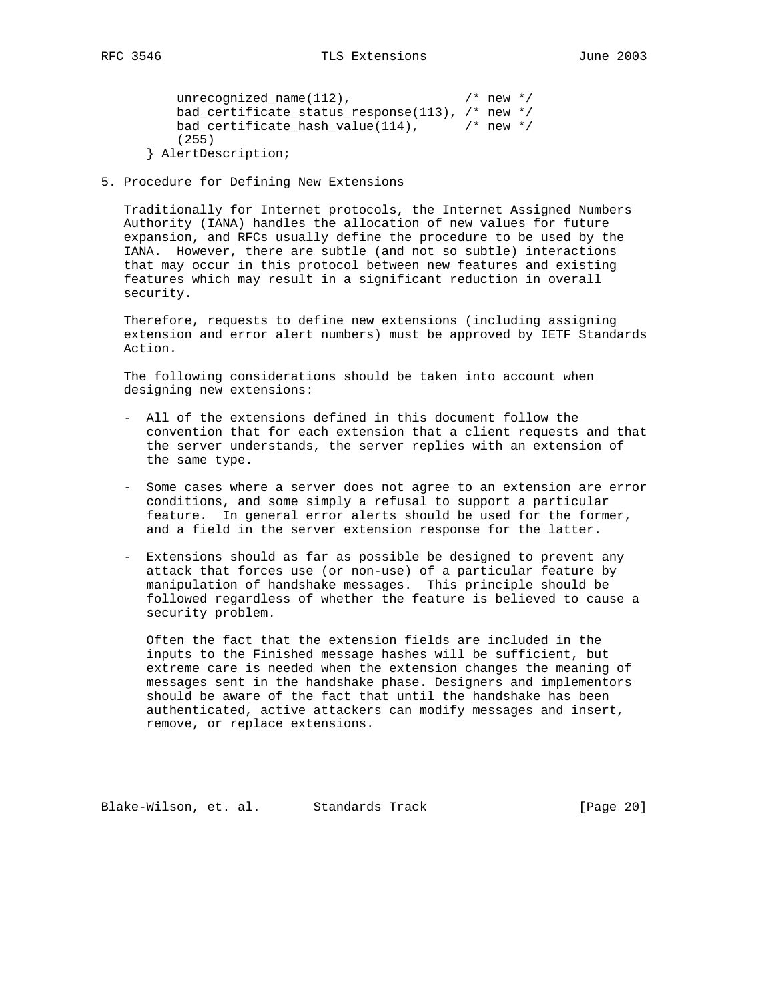```
unrecognized_name(112), \frac{1}{2} /* new */
    bad_certificate_status_response(113), /* new */
    bad_certificate_hash_value(114), /* new */
    (255)
 } AlertDescription;
```
5. Procedure for Defining New Extensions

 Traditionally for Internet protocols, the Internet Assigned Numbers Authority (IANA) handles the allocation of new values for future expansion, and RFCs usually define the procedure to be used by the IANA. However, there are subtle (and not so subtle) interactions that may occur in this protocol between new features and existing features which may result in a significant reduction in overall security.

 Therefore, requests to define new extensions (including assigning extension and error alert numbers) must be approved by IETF Standards Action.

 The following considerations should be taken into account when designing new extensions:

- All of the extensions defined in this document follow the convention that for each extension that a client requests and that the server understands, the server replies with an extension of the same type.
- Some cases where a server does not agree to an extension are error conditions, and some simply a refusal to support a particular feature. In general error alerts should be used for the former, and a field in the server extension response for the latter.
- Extensions should as far as possible be designed to prevent any attack that forces use (or non-use) of a particular feature by manipulation of handshake messages. This principle should be followed regardless of whether the feature is believed to cause a security problem.

 Often the fact that the extension fields are included in the inputs to the Finished message hashes will be sufficient, but extreme care is needed when the extension changes the meaning of messages sent in the handshake phase. Designers and implementors should be aware of the fact that until the handshake has been authenticated, active attackers can modify messages and insert, remove, or replace extensions.

Blake-Wilson, et. al. Standards Track [Page 20]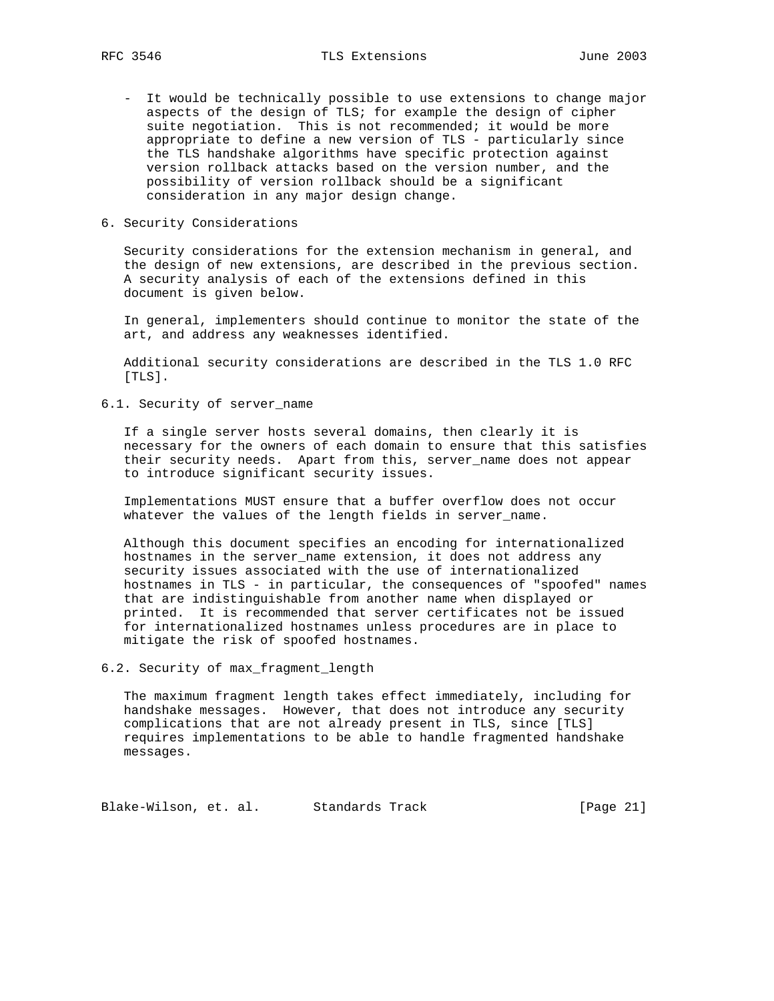- It would be technically possible to use extensions to change major aspects of the design of TLS; for example the design of cipher suite negotiation. This is not recommended; it would be more appropriate to define a new version of TLS - particularly since the TLS handshake algorithms have specific protection against version rollback attacks based on the version number, and the possibility of version rollback should be a significant consideration in any major design change.
- 6. Security Considerations

 Security considerations for the extension mechanism in general, and the design of new extensions, are described in the previous section. A security analysis of each of the extensions defined in this document is given below.

 In general, implementers should continue to monitor the state of the art, and address any weaknesses identified.

 Additional security considerations are described in the TLS 1.0 RFC [TLS].

6.1. Security of server\_name

 If a single server hosts several domains, then clearly it is necessary for the owners of each domain to ensure that this satisfies their security needs. Apart from this, server\_name does not appear to introduce significant security issues.

 Implementations MUST ensure that a buffer overflow does not occur whatever the values of the length fields in server name.

 Although this document specifies an encoding for internationalized hostnames in the server name extension, it does not address any security issues associated with the use of internationalized hostnames in TLS - in particular, the consequences of "spoofed" names that are indistinguishable from another name when displayed or printed. It is recommended that server certificates not be issued for internationalized hostnames unless procedures are in place to mitigate the risk of spoofed hostnames.

6.2. Security of max\_fragment\_length

 The maximum fragment length takes effect immediately, including for handshake messages. However, that does not introduce any security complications that are not already present in TLS, since [TLS] requires implementations to be able to handle fragmented handshake messages.

Blake-Wilson, et. al. Standards Track [Page 21]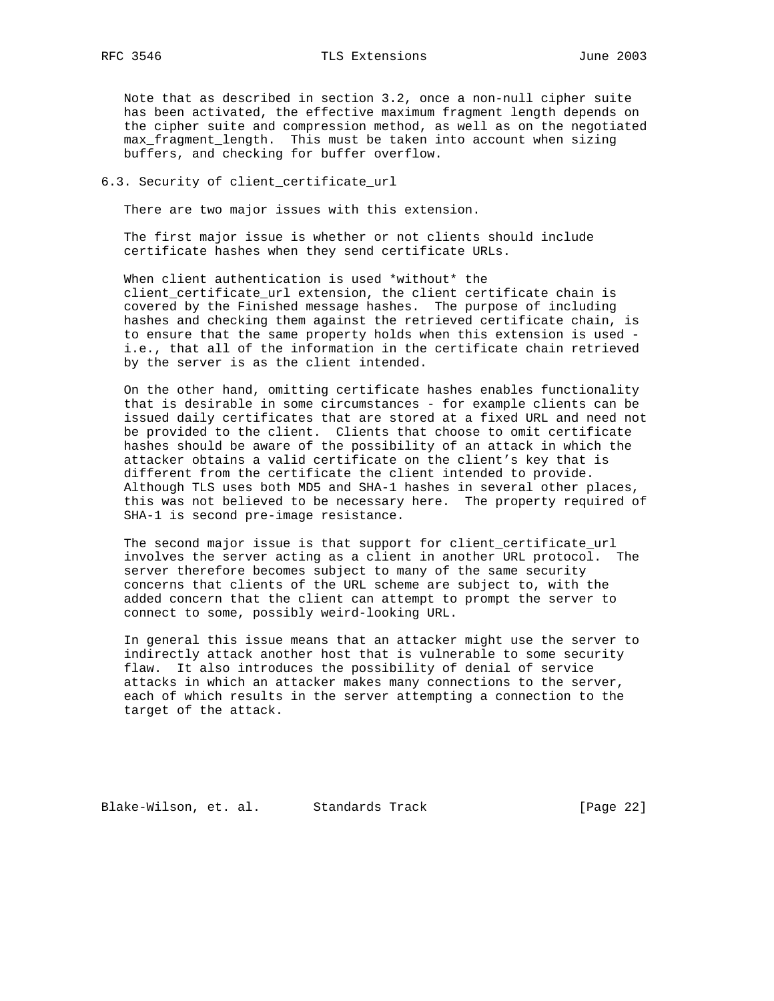Note that as described in section 3.2, once a non-null cipher suite has been activated, the effective maximum fragment length depends on the cipher suite and compression method, as well as on the negotiated max\_fragment\_length. This must be taken into account when sizing buffers, and checking for buffer overflow.

#### 6.3. Security of client\_certificate\_url

There are two major issues with this extension.

 The first major issue is whether or not clients should include certificate hashes when they send certificate URLs.

When client authentication is used \*without\* the client\_certificate\_url extension, the client certificate chain is covered by the Finished message hashes. The purpose of including hashes and checking them against the retrieved certificate chain, is to ensure that the same property holds when this extension is used i.e., that all of the information in the certificate chain retrieved by the server is as the client intended.

 On the other hand, omitting certificate hashes enables functionality that is desirable in some circumstances - for example clients can be issued daily certificates that are stored at a fixed URL and need not be provided to the client. Clients that choose to omit certificate hashes should be aware of the possibility of an attack in which the attacker obtains a valid certificate on the client's key that is different from the certificate the client intended to provide. Although TLS uses both MD5 and SHA-1 hashes in several other places, this was not believed to be necessary here. The property required of SHA-1 is second pre-image resistance.

 The second major issue is that support for client\_certificate\_url involves the server acting as a client in another URL protocol. The server therefore becomes subject to many of the same security concerns that clients of the URL scheme are subject to, with the added concern that the client can attempt to prompt the server to connect to some, possibly weird-looking URL.

 In general this issue means that an attacker might use the server to indirectly attack another host that is vulnerable to some security flaw. It also introduces the possibility of denial of service attacks in which an attacker makes many connections to the server, each of which results in the server attempting a connection to the target of the attack.

Blake-Wilson, et. al. Standards Track [Page 22]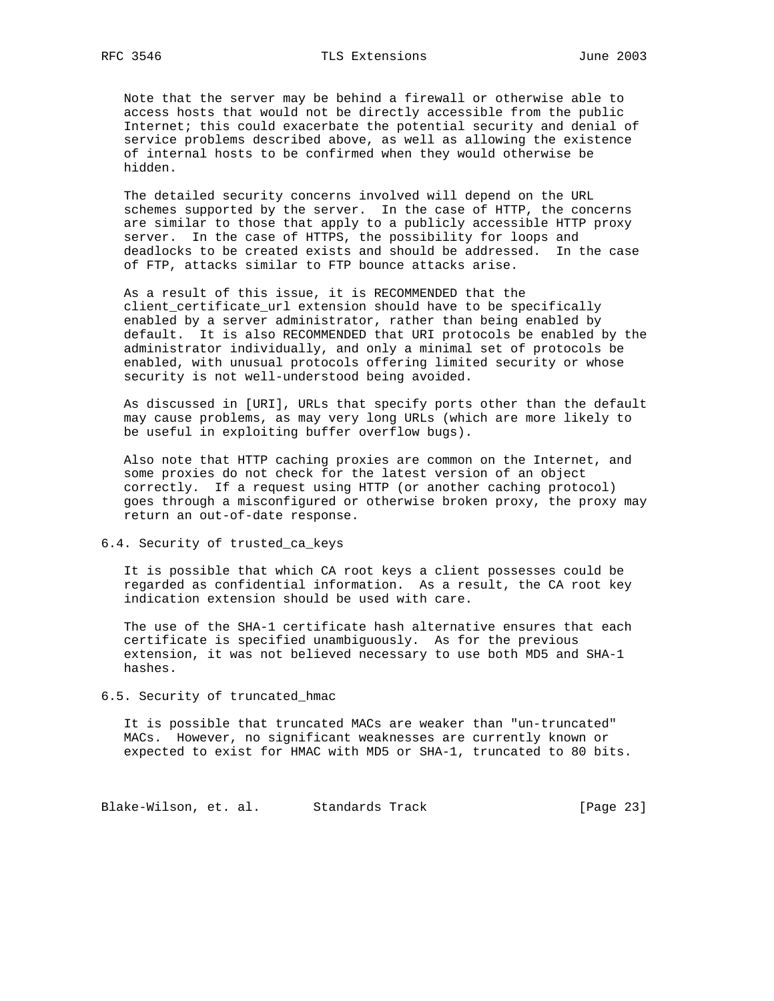Note that the server may be behind a firewall or otherwise able to access hosts that would not be directly accessible from the public Internet; this could exacerbate the potential security and denial of service problems described above, as well as allowing the existence of internal hosts to be confirmed when they would otherwise be hidden.

 The detailed security concerns involved will depend on the URL schemes supported by the server. In the case of HTTP, the concerns are similar to those that apply to a publicly accessible HTTP proxy server. In the case of HTTPS, the possibility for loops and deadlocks to be created exists and should be addressed. In the case of FTP, attacks similar to FTP bounce attacks arise.

 As a result of this issue, it is RECOMMENDED that the client\_certificate\_url extension should have to be specifically enabled by a server administrator, rather than being enabled by default. It is also RECOMMENDED that URI protocols be enabled by the administrator individually, and only a minimal set of protocols be enabled, with unusual protocols offering limited security or whose security is not well-understood being avoided.

 As discussed in [URI], URLs that specify ports other than the default may cause problems, as may very long URLs (which are more likely to be useful in exploiting buffer overflow bugs).

 Also note that HTTP caching proxies are common on the Internet, and some proxies do not check for the latest version of an object correctly. If a request using HTTP (or another caching protocol) goes through a misconfigured or otherwise broken proxy, the proxy may return an out-of-date response.

#### 6.4. Security of trusted\_ca\_keys

 It is possible that which CA root keys a client possesses could be regarded as confidential information. As a result, the CA root key indication extension should be used with care.

 The use of the SHA-1 certificate hash alternative ensures that each certificate is specified unambiguously. As for the previous extension, it was not believed necessary to use both MD5 and SHA-1 hashes.

## 6.5. Security of truncated\_hmac

 It is possible that truncated MACs are weaker than "un-truncated" MACs. However, no significant weaknesses are currently known or expected to exist for HMAC with MD5 or SHA-1, truncated to 80 bits.

Blake-Wilson, et. al. Standards Track [Page 23]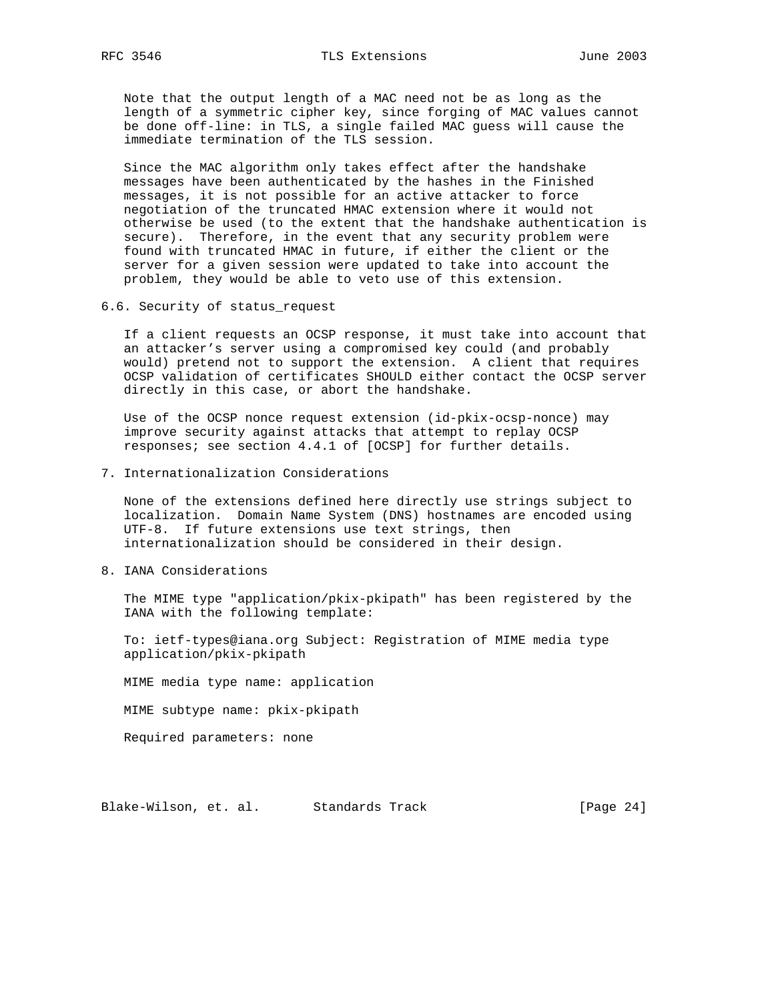Note that the output length of a MAC need not be as long as the length of a symmetric cipher key, since forging of MAC values cannot be done off-line: in TLS, a single failed MAC guess will cause the immediate termination of the TLS session.

 Since the MAC algorithm only takes effect after the handshake messages have been authenticated by the hashes in the Finished messages, it is not possible for an active attacker to force negotiation of the truncated HMAC extension where it would not otherwise be used (to the extent that the handshake authentication is secure). Therefore, in the event that any security problem were found with truncated HMAC in future, if either the client or the server for a given session were updated to take into account the problem, they would be able to veto use of this extension.

6.6. Security of status\_request

 If a client requests an OCSP response, it must take into account that an attacker's server using a compromised key could (and probably would) pretend not to support the extension. A client that requires OCSP validation of certificates SHOULD either contact the OCSP server directly in this case, or abort the handshake.

 Use of the OCSP nonce request extension (id-pkix-ocsp-nonce) may improve security against attacks that attempt to replay OCSP responses; see section 4.4.1 of [OCSP] for further details.

7. Internationalization Considerations

 None of the extensions defined here directly use strings subject to localization. Domain Name System (DNS) hostnames are encoded using UTF-8. If future extensions use text strings, then internationalization should be considered in their design.

8. IANA Considerations

 The MIME type "application/pkix-pkipath" has been registered by the IANA with the following template:

 To: ietf-types@iana.org Subject: Registration of MIME media type application/pkix-pkipath

MIME media type name: application

MIME subtype name: pkix-pkipath

Required parameters: none

Blake-Wilson, et. al. Standards Track [Page 24]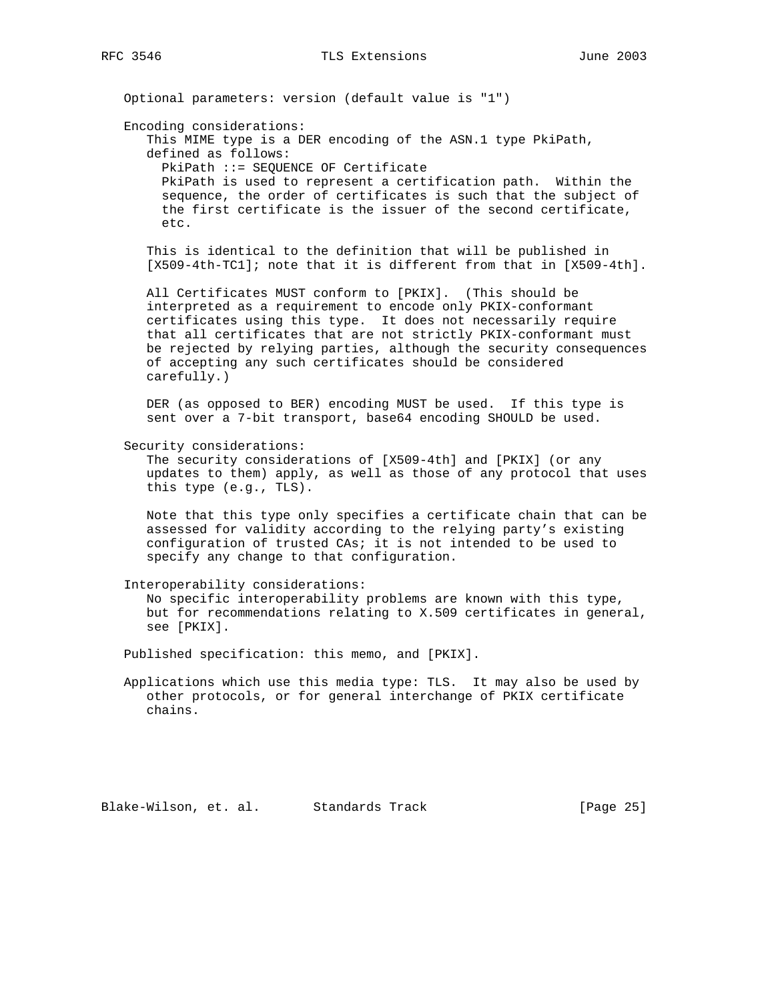Optional parameters: version (default value is "1")

Encoding considerations:

 This MIME type is a DER encoding of the ASN.1 type PkiPath, defined as follows: PkiPath ::= SEQUENCE OF Certificate PkiPath is used to represent a certification path. Within the sequence, the order of certificates is such that the subject of the first certificate is the issuer of the second certificate, etc.

 This is identical to the definition that will be published in [X509-4th-TC1]; note that it is different from that in [X509-4th].

 All Certificates MUST conform to [PKIX]. (This should be interpreted as a requirement to encode only PKIX-conformant certificates using this type. It does not necessarily require that all certificates that are not strictly PKIX-conformant must be rejected by relying parties, although the security consequences of accepting any such certificates should be considered carefully.)

 DER (as opposed to BER) encoding MUST be used. If this type is sent over a 7-bit transport, base64 encoding SHOULD be used.

Security considerations:

 The security considerations of [X509-4th] and [PKIX] (or any updates to them) apply, as well as those of any protocol that uses this type (e.g., TLS).

 Note that this type only specifies a certificate chain that can be assessed for validity according to the relying party's existing configuration of trusted CAs; it is not intended to be used to specify any change to that configuration.

Interoperability considerations:

 No specific interoperability problems are known with this type, but for recommendations relating to X.509 certificates in general, see [PKIX].

Published specification: this memo, and [PKIX].

 Applications which use this media type: TLS. It may also be used by other protocols, or for general interchange of PKIX certificate chains.

Blake-Wilson, et. al. Standards Track [Page 25]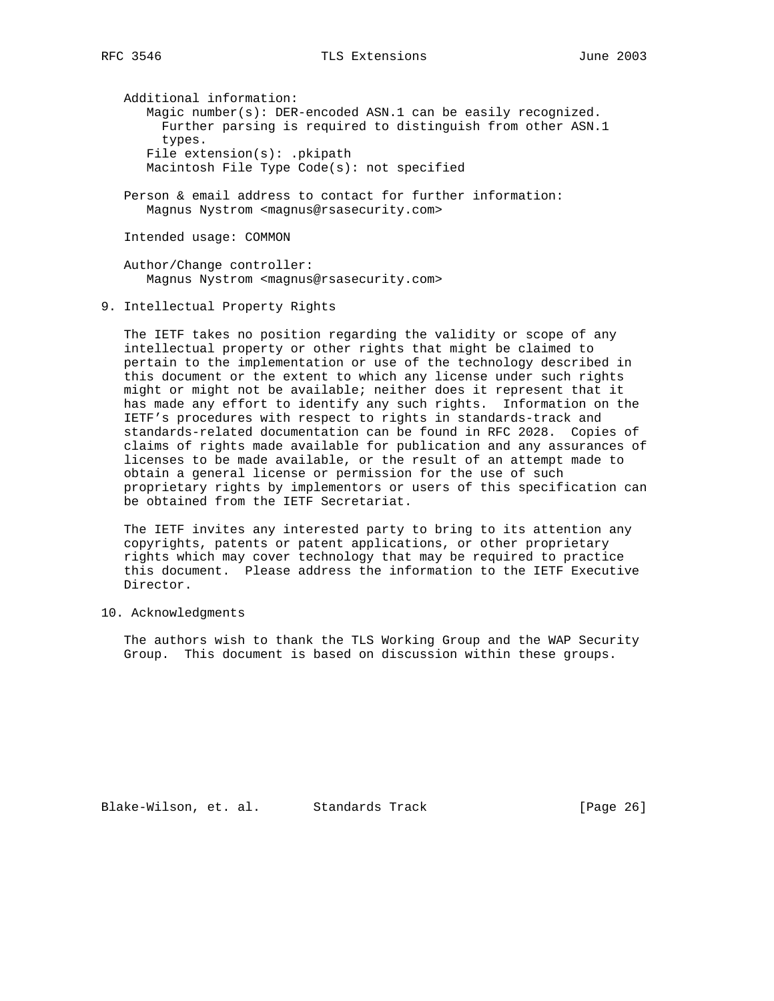Additional information: Magic number(s): DER-encoded ASN.1 can be easily recognized. Further parsing is required to distinguish from other ASN.1 types. File extension(s): .pkipath Macintosh File Type Code(s): not specified

 Person & email address to contact for further information: Magnus Nystrom <magnus@rsasecurity.com>

Intended usage: COMMON

 Author/Change controller: Magnus Nystrom <magnus@rsasecurity.com>

9. Intellectual Property Rights

 The IETF takes no position regarding the validity or scope of any intellectual property or other rights that might be claimed to pertain to the implementation or use of the technology described in this document or the extent to which any license under such rights might or might not be available; neither does it represent that it has made any effort to identify any such rights. Information on the IETF's procedures with respect to rights in standards-track and standards-related documentation can be found in RFC 2028. Copies of claims of rights made available for publication and any assurances of licenses to be made available, or the result of an attempt made to obtain a general license or permission for the use of such proprietary rights by implementors or users of this specification can be obtained from the IETF Secretariat.

 The IETF invites any interested party to bring to its attention any copyrights, patents or patent applications, or other proprietary rights which may cover technology that may be required to practice this document. Please address the information to the IETF Executive Director.

10. Acknowledgments

 The authors wish to thank the TLS Working Group and the WAP Security Group. This document is based on discussion within these groups.

Blake-Wilson, et. al. Standards Track [Page 26]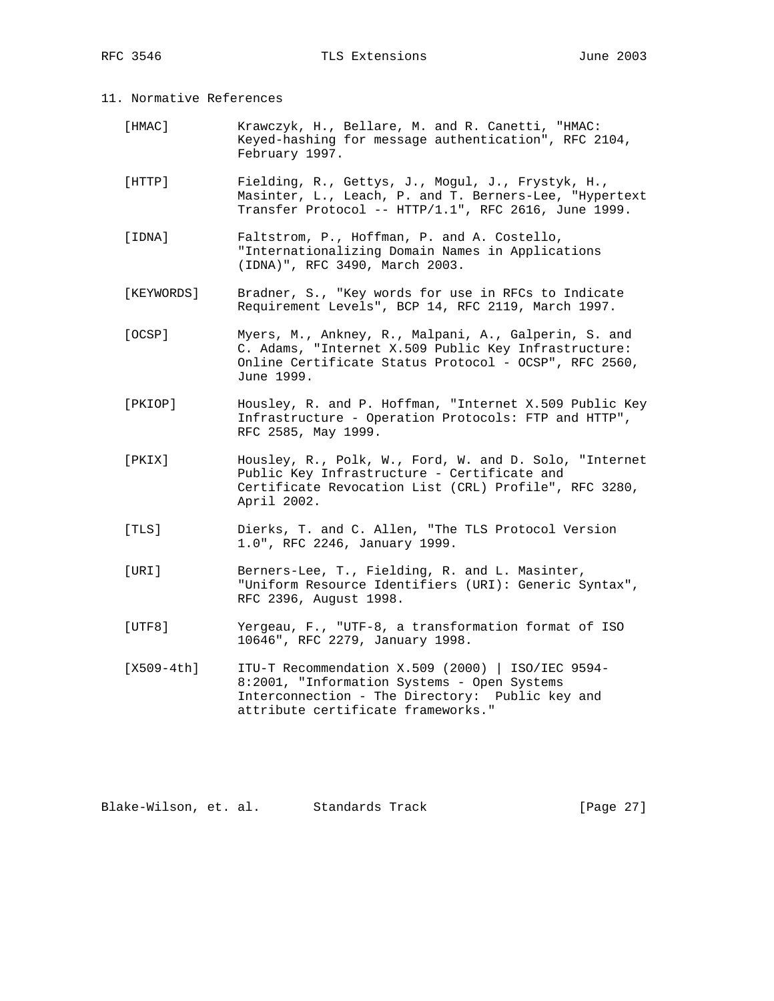## 11. Normative References

- [HMAC] Krawczyk, H., Bellare, M. and R. Canetti, "HMAC: Keyed-hashing for message authentication", RFC 2104, February 1997.
- [HTTP] Fielding, R., Gettys, J., Mogul, J., Frystyk, H., Masinter, L., Leach, P. and T. Berners-Lee, "Hypertext Transfer Protocol -- HTTP/1.1", RFC 2616, June 1999.
- [IDNA] Faltstrom, P., Hoffman, P. and A. Costello, "Internationalizing Domain Names in Applications (IDNA)", RFC 3490, March 2003.
- [KEYWORDS] Bradner, S., "Key words for use in RFCs to Indicate Requirement Levels", BCP 14, RFC 2119, March 1997.
- [OCSP] Myers, M., Ankney, R., Malpani, A., Galperin, S. and C. Adams, "Internet X.509 Public Key Infrastructure: Online Certificate Status Protocol - OCSP", RFC 2560, June 1999.
- [PKIOP] Housley, R. and P. Hoffman, "Internet X.509 Public Key Infrastructure - Operation Protocols: FTP and HTTP", RFC 2585, May 1999.
- [PKIX] Housley, R., Polk, W., Ford, W. and D. Solo, "Internet Public Key Infrastructure - Certificate and Certificate Revocation List (CRL) Profile", RFC 3280, April 2002.
- [TLS] Dierks, T. and C. Allen, "The TLS Protocol Version 1.0", RFC 2246, January 1999.
- [URI] Berners-Lee, T., Fielding, R. and L. Masinter, "Uniform Resource Identifiers (URI): Generic Syntax", RFC 2396, August 1998.
- [UTF8] Yergeau, F., "UTF-8, a transformation format of ISO 10646", RFC 2279, January 1998.

 [X509-4th] ITU-T Recommendation X.509 (2000) | ISO/IEC 9594- 8:2001, "Information Systems - Open Systems Interconnection - The Directory: Public key and attribute certificate frameworks."

Blake-Wilson, et. al. Standards Track [Page 27]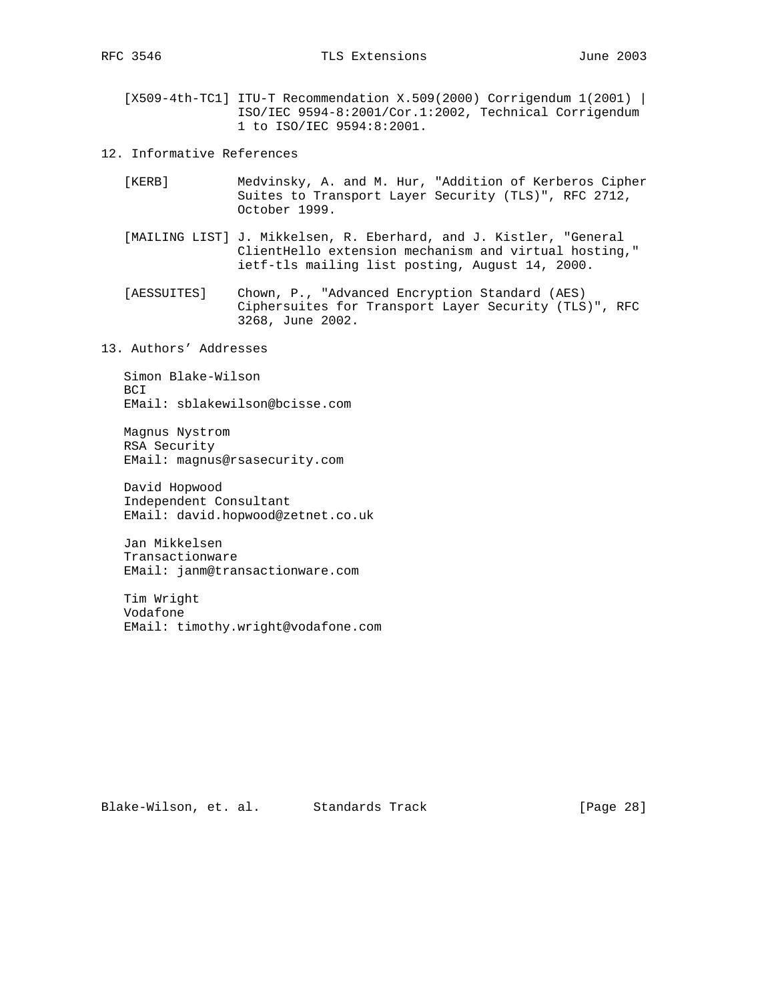[X509-4th-TC1] ITU-T Recommendation X.509(2000) Corrigendum 1(2001) | ISO/IEC 9594-8:2001/Cor.1:2002, Technical Corrigendum 1 to ISO/IEC 9594:8:2001.

12. Informative References

- [KERB] Medvinsky, A. and M. Hur, "Addition of Kerberos Cipher Suites to Transport Layer Security (TLS)", RFC 2712, October 1999.
- [MAILING LIST] J. Mikkelsen, R. Eberhard, and J. Kistler, "General ClientHello extension mechanism and virtual hosting," ietf-tls mailing list posting, August 14, 2000.
- [AESSUITES] Chown, P., "Advanced Encryption Standard (AES) Ciphersuites for Transport Layer Security (TLS)", RFC 3268, June 2002.

13. Authors' Addresses

 Simon Blake-Wilson BCI EMail: sblakewilson@bcisse.com

 Magnus Nystrom RSA Security EMail: magnus@rsasecurity.com

 David Hopwood Independent Consultant EMail: david.hopwood@zetnet.co.uk

 Jan Mikkelsen Transactionware EMail: janm@transactionware.com

 Tim Wright Vodafone EMail: timothy.wright@vodafone.com

Blake-Wilson, et. al. Standards Track [Page 28]